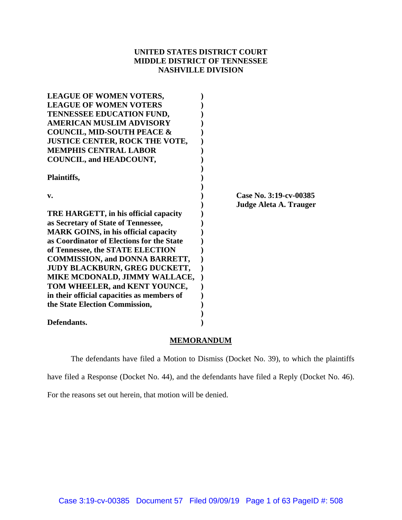# **UNITED STATES DISTRICT COURT MIDDLE DISTRICT OF TENNESSEE NASHVILLE DIVISION**

| <b>LEAGUE OF WOMEN VOTERS,</b>              |                        |
|---------------------------------------------|------------------------|
| <b>LEAGUE OF WOMEN VOTERS</b>               |                        |
| TENNESSEE EDUCATION FUND,                   |                        |
| <b>AMERICAN MUSLIM ADVISORY</b>             |                        |
| <b>COUNCIL, MID-SOUTH PEACE &amp;</b>       |                        |
| <b>JUSTICE CENTER, ROCK THE VOTE,</b>       |                        |
| <b>MEMPHIS CENTRAL LABOR</b>                |                        |
| <b>COUNCIL, and HEADCOUNT,</b>              |                        |
| Plaintiffs,                                 |                        |
| $\mathbf{v}$ .                              | Case No. 3:19-cv-00385 |
|                                             | Judge Aleta A. Trauger |
| TRE HARGETT, in his official capacity       |                        |
| as Secretary of State of Tennessee,         |                        |
| <b>MARK GOINS, in his official capacity</b> |                        |
| as Coordinator of Elections for the State   |                        |
| of Tennessee, the STATE ELECTION            |                        |
| <b>COMMISSION, and DONNA BARRETT,</b>       |                        |
| JUDY BLACKBURN, GREG DUCKETT,               |                        |
| MIKE MCDONALD, JIMMY WALLACE,               |                        |
| TOM WHEELER, and KENT YOUNCE,               |                        |
| in their official capacities as members of  |                        |
| the State Election Commission,              |                        |
|                                             |                        |
| Defendants.                                 |                        |

# **MEMORANDUM**

The defendants have filed a Motion to Dismiss (Docket No. 39), to which the plaintiffs have filed a Response (Docket No. 44), and the defendants have filed a Reply (Docket No. 46).

For the reasons set out herein, that motion will be denied.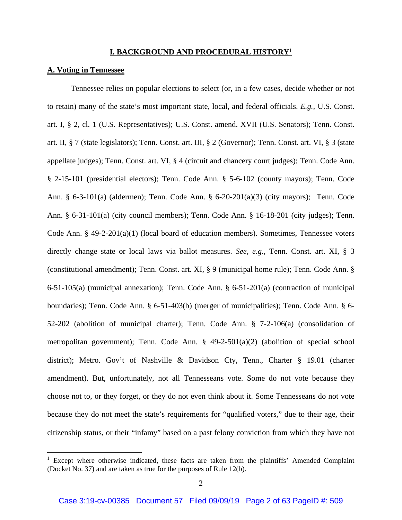## **I. BACKGROUND AND PROCEDURAL HISTORY1**

## **A. Voting in Tennessee**

 Tennessee relies on popular elections to select (or, in a few cases, decide whether or not to retain) many of the state's most important state, local, and federal officials. *E.g.*, U.S. Const. art. I, § 2, cl. 1 (U.S. Representatives); U.S. Const. amend. XVII (U.S. Senators); Tenn. Const. art. II, § 7 (state legislators); Tenn. Const. art. III, § 2 (Governor); Tenn. Const. art. VI, § 3 (state appellate judges); Tenn. Const. art. VI, § 4 (circuit and chancery court judges); Tenn. Code Ann. § 2-15-101 (presidential electors); Tenn. Code Ann. § 5-6-102 (county mayors); Tenn. Code Ann. § 6-3-101(a) (aldermen); Tenn. Code Ann. § 6-20-201(a)(3) (city mayors); Tenn. Code Ann. § 6-31-101(a) (city council members); Tenn. Code Ann. § 16-18-201 (city judges); Tenn. Code Ann. § 49-2-201(a)(1) (local board of education members). Sometimes, Tennessee voters directly change state or local laws via ballot measures. *See, e.g.*, Tenn. Const. art. XI, § 3 (constitutional amendment); Tenn. Const. art. XI, § 9 (municipal home rule); Tenn. Code Ann. § 6-51-105(a) (municipal annexation); Tenn. Code Ann. § 6-51-201(a) (contraction of municipal boundaries); Tenn. Code Ann. § 6-51-403(b) (merger of municipalities); Tenn. Code Ann. § 6- 52-202 (abolition of municipal charter); Tenn. Code Ann. § 7-2-106(a) (consolidation of metropolitan government); Tenn. Code Ann. § 49-2-501(a)(2) (abolition of special school district); Metro. Gov't of Nashville & Davidson Cty, Tenn., Charter § 19.01 (charter amendment). But, unfortunately, not all Tennesseans vote. Some do not vote because they choose not to, or they forget, or they do not even think about it. Some Tennesseans do not vote because they do not meet the state's requirements for "qualified voters," due to their age, their citizenship status, or their "infamy" based on a past felony conviction from which they have not

<sup>&</sup>lt;sup>1</sup> Except where otherwise indicated, these facts are taken from the plaintiffs' Amended Complaint (Docket No. 37) and are taken as true for the purposes of Rule 12(b).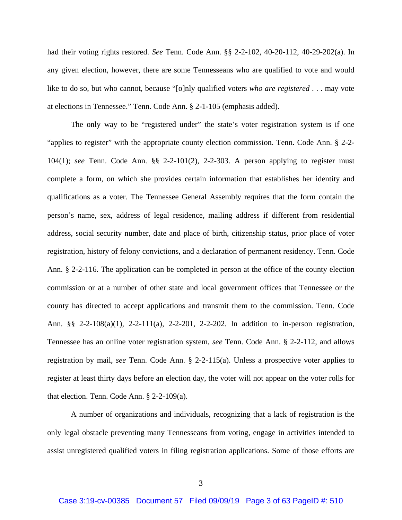had their voting rights restored. *See* Tenn. Code Ann. §§ 2-2-102, 40-20-112, 40-29-202(a). In any given election, however, there are some Tennesseans who are qualified to vote and would like to do so, but who cannot, because "[o]nly qualified voters *who are registered* . . . may vote at elections in Tennessee." Tenn. Code Ann. § 2-1-105 (emphasis added).

The only way to be "registered under" the state's voter registration system is if one "applies to register" with the appropriate county election commission. Tenn. Code Ann. § 2-2- 104(1); *see* Tenn. Code Ann. §§ 2-2-101(2), 2-2-303. A person applying to register must complete a form, on which she provides certain information that establishes her identity and qualifications as a voter. The Tennessee General Assembly requires that the form contain the person's name, sex, address of legal residence, mailing address if different from residential address, social security number, date and place of birth, citizenship status, prior place of voter registration, history of felony convictions, and a declaration of permanent residency. Tenn. Code Ann. § 2-2-116. The application can be completed in person at the office of the county election commission or at a number of other state and local government offices that Tennessee or the county has directed to accept applications and transmit them to the commission. Tenn. Code Ann. §§ 2-2-108(a)(1), 2-2-111(a), 2-2-201, 2-2-202. In addition to in-person registration, Tennessee has an online voter registration system, *see* Tenn. Code Ann. § 2-2-112, and allows registration by mail, *see* Tenn. Code Ann. § 2-2-115(a). Unless a prospective voter applies to register at least thirty days before an election day, the voter will not appear on the voter rolls for that election. Tenn. Code Ann. § 2-2-109(a).

A number of organizations and individuals, recognizing that a lack of registration is the only legal obstacle preventing many Tennesseans from voting, engage in activities intended to assist unregistered qualified voters in filing registration applications. Some of those efforts are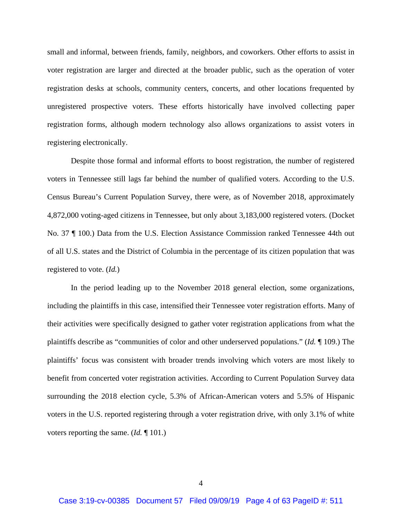small and informal, between friends, family, neighbors, and coworkers. Other efforts to assist in voter registration are larger and directed at the broader public, such as the operation of voter registration desks at schools, community centers, concerts, and other locations frequented by unregistered prospective voters. These efforts historically have involved collecting paper registration forms, although modern technology also allows organizations to assist voters in registering electronically.

Despite those formal and informal efforts to boost registration, the number of registered voters in Tennessee still lags far behind the number of qualified voters. According to the U.S. Census Bureau's Current Population Survey, there were, as of November 2018, approximately 4,872,000 voting-aged citizens in Tennessee, but only about 3,183,000 registered voters. (Docket No. 37 ¶ 100.) Data from the U.S. Election Assistance Commission ranked Tennessee 44th out of all U.S. states and the District of Columbia in the percentage of its citizen population that was registered to vote. (*Id.*)

In the period leading up to the November 2018 general election, some organizations, including the plaintiffs in this case, intensified their Tennessee voter registration efforts. Many of their activities were specifically designed to gather voter registration applications from what the plaintiffs describe as "communities of color and other underserved populations." (*Id.* ¶ 109.) The plaintiffs' focus was consistent with broader trends involving which voters are most likely to benefit from concerted voter registration activities. According to Current Population Survey data surrounding the 2018 election cycle, 5.3% of African-American voters and 5.5% of Hispanic voters in the U.S. reported registering through a voter registration drive, with only 3.1% of white voters reporting the same. (*Id.* ¶ 101.)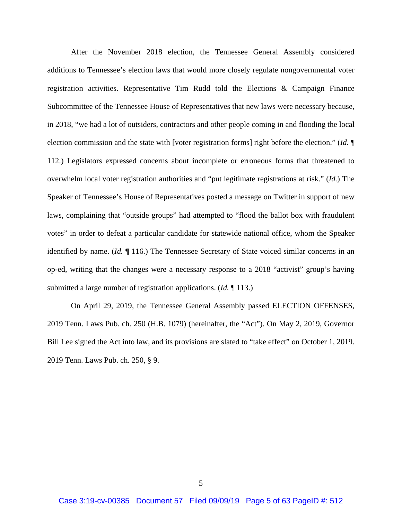After the November 2018 election, the Tennessee General Assembly considered additions to Tennessee's election laws that would more closely regulate nongovernmental voter registration activities. Representative Tim Rudd told the Elections & Campaign Finance Subcommittee of the Tennessee House of Representatives that new laws were necessary because, in 2018, "we had a lot of outsiders, contractors and other people coming in and flooding the local election commission and the state with [voter registration forms] right before the election." (*Id.* ¶ 112.) Legislators expressed concerns about incomplete or erroneous forms that threatened to overwhelm local voter registration authorities and "put legitimate registrations at risk." (*Id.*) The Speaker of Tennessee's House of Representatives posted a message on Twitter in support of new laws, complaining that "outside groups" had attempted to "flood the ballot box with fraudulent votes" in order to defeat a particular candidate for statewide national office, whom the Speaker identified by name. (*Id.* ¶ 116.) The Tennessee Secretary of State voiced similar concerns in an op-ed, writing that the changes were a necessary response to a 2018 "activist" group's having submitted a large number of registration applications. (*Id.* ¶ 113.)

On April 29, 2019, the Tennessee General Assembly passed ELECTION OFFENSES, 2019 Tenn. Laws Pub. ch. 250 (H.B. 1079) (hereinafter, the "Act"). On May 2, 2019, Governor Bill Lee signed the Act into law, and its provisions are slated to "take effect" on October 1, 2019. 2019 Tenn. Laws Pub. ch. 250, § 9.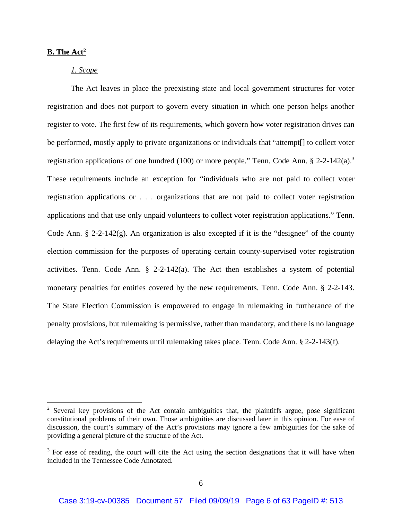## **B. The Act2**

## *1. Scope*

The Act leaves in place the preexisting state and local government structures for voter registration and does not purport to govern every situation in which one person helps another register to vote. The first few of its requirements, which govern how voter registration drives can be performed, mostly apply to private organizations or individuals that "attempt[] to collect voter registration applications of one hundred (100) or more people." Tenn. Code Ann.  $\S 2$ -2-142(a).<sup>3</sup> These requirements include an exception for "individuals who are not paid to collect voter registration applications or . . . organizations that are not paid to collect voter registration applications and that use only unpaid volunteers to collect voter registration applications." Tenn. Code Ann.  $\S 2-2-142(g)$ . An organization is also excepted if it is the "designee" of the county election commission for the purposes of operating certain county-supervised voter registration activities. Tenn. Code Ann.  $\S$  2-2-142(a). The Act then establishes a system of potential monetary penalties for entities covered by the new requirements. Tenn. Code Ann. § 2-2-143. The State Election Commission is empowered to engage in rulemaking in furtherance of the penalty provisions, but rulemaking is permissive, rather than mandatory, and there is no language delaying the Act's requirements until rulemaking takes place. Tenn. Code Ann. § 2-2-143(f).

 $2$  Several key provisions of the Act contain ambiguities that, the plaintiffs argue, pose significant constitutional problems of their own. Those ambiguities are discussed later in this opinion. For ease of discussion, the court's summary of the Act's provisions may ignore a few ambiguities for the sake of providing a general picture of the structure of the Act.

 $3$  For ease of reading, the court will cite the Act using the section designations that it will have when included in the Tennessee Code Annotated.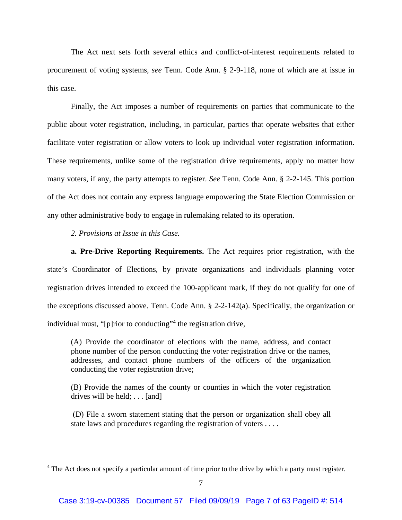The Act next sets forth several ethics and conflict-of-interest requirements related to procurement of voting systems, *see* Tenn. Code Ann. § 2-9-118, none of which are at issue in this case.

Finally, the Act imposes a number of requirements on parties that communicate to the public about voter registration, including, in particular, parties that operate websites that either facilitate voter registration or allow voters to look up individual voter registration information. These requirements, unlike some of the registration drive requirements, apply no matter how many voters, if any, the party attempts to register. *See* Tenn. Code Ann. § 2-2-145. This portion of the Act does not contain any express language empowering the State Election Commission or any other administrative body to engage in rulemaking related to its operation.

## *2. Provisions at Issue in this Case.*

 **a. Pre-Drive Reporting Requirements.** The Act requires prior registration, with the state's Coordinator of Elections, by private organizations and individuals planning voter registration drives intended to exceed the 100-applicant mark, if they do not qualify for one of the exceptions discussed above. Tenn. Code Ann. § 2-2-142(a). Specifically, the organization or individual must, "[p]rior to conducting"<sup>4</sup> the registration drive,

(A) Provide the coordinator of elections with the name, address, and contact phone number of the person conducting the voter registration drive or the names, addresses, and contact phone numbers of the officers of the organization conducting the voter registration drive;

(B) Provide the names of the county or counties in which the voter registration drives will be held; . . . [and]

 (D) File a sworn statement stating that the person or organization shall obey all state laws and procedures regarding the registration of voters . . . .

<sup>&</sup>lt;sup>4</sup> The Act does not specify a particular amount of time prior to the drive by which a party must register.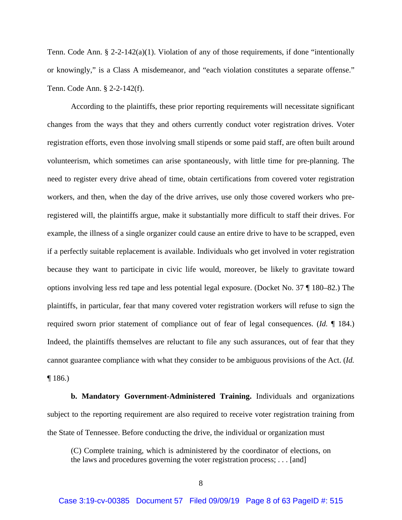Tenn. Code Ann. § 2-2-142(a)(1). Violation of any of those requirements, if done "intentionally or knowingly," is a Class A misdemeanor, and "each violation constitutes a separate offense." Tenn. Code Ann. § 2-2-142(f).

 According to the plaintiffs, these prior reporting requirements will necessitate significant changes from the ways that they and others currently conduct voter registration drives. Voter registration efforts, even those involving small stipends or some paid staff, are often built around volunteerism, which sometimes can arise spontaneously, with little time for pre-planning. The need to register every drive ahead of time, obtain certifications from covered voter registration workers, and then, when the day of the drive arrives, use only those covered workers who preregistered will, the plaintiffs argue, make it substantially more difficult to staff their drives. For example, the illness of a single organizer could cause an entire drive to have to be scrapped, even if a perfectly suitable replacement is available. Individuals who get involved in voter registration because they want to participate in civic life would, moreover, be likely to gravitate toward options involving less red tape and less potential legal exposure. (Docket No. 37 ¶ 180–82.) The plaintiffs, in particular, fear that many covered voter registration workers will refuse to sign the required sworn prior statement of compliance out of fear of legal consequences. (*Id.* ¶ 184.) Indeed, the plaintiffs themselves are reluctant to file any such assurances, out of fear that they cannot guarantee compliance with what they consider to be ambiguous provisions of the Act. (*Id.* ¶ 186.)

**b. Mandatory Government-Administered Training.** Individuals and organizations subject to the reporting requirement are also required to receive voter registration training from the State of Tennessee. Before conducting the drive, the individual or organization must

(C) Complete training, which is administered by the coordinator of elections, on the laws and procedures governing the voter registration process; . . . [and]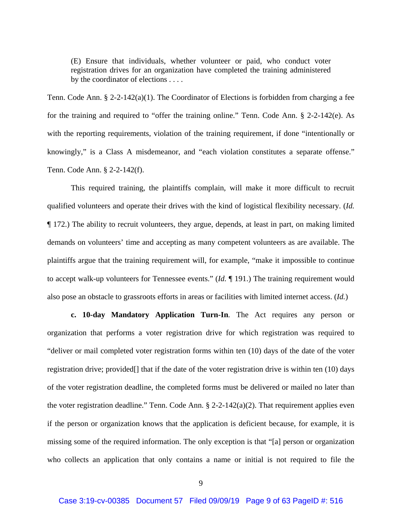(E) Ensure that individuals, whether volunteer or paid, who conduct voter registration drives for an organization have completed the training administered by the coordinator of elections . . . .

Tenn. Code Ann. § 2-2-142(a)(1). The Coordinator of Elections is forbidden from charging a fee for the training and required to "offer the training online." Tenn. Code Ann. § 2-2-142(e). As with the reporting requirements, violation of the training requirement, if done "intentionally or knowingly," is a Class A misdemeanor, and "each violation constitutes a separate offense." Tenn. Code Ann. § 2-2-142(f).

 This required training, the plaintiffs complain, will make it more difficult to recruit qualified volunteers and operate their drives with the kind of logistical flexibility necessary. (*Id.* ¶ 172.) The ability to recruit volunteers, they argue, depends, at least in part, on making limited demands on volunteers' time and accepting as many competent volunteers as are available. The plaintiffs argue that the training requirement will, for example, "make it impossible to continue to accept walk-up volunteers for Tennessee events." (*Id.* ¶ 191.) The training requirement would also pose an obstacle to grassroots efforts in areas or facilities with limited internet access. (*Id.*)

**c. 10-day Mandatory Application Turn-In***.* The Act requires any person or organization that performs a voter registration drive for which registration was required to "deliver or mail completed voter registration forms within ten (10) days of the date of the voter registration drive; provided[] that if the date of the voter registration drive is within ten (10) days of the voter registration deadline, the completed forms must be delivered or mailed no later than the voter registration deadline." Tenn. Code Ann. § 2-2-142(a)(2). That requirement applies even if the person or organization knows that the application is deficient because, for example, it is missing some of the required information. The only exception is that "[a] person or organization who collects an application that only contains a name or initial is not required to file the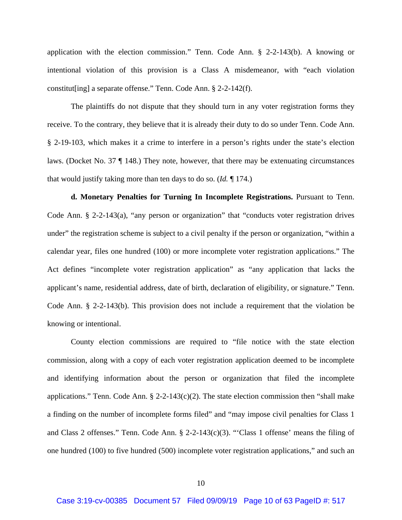application with the election commission." Tenn. Code Ann. § 2-2-143(b). A knowing or intentional violation of this provision is a Class A misdemeanor, with "each violation constitut[ing] a separate offense." Tenn. Code Ann. § 2-2-142(f).

 The plaintiffs do not dispute that they should turn in any voter registration forms they receive. To the contrary, they believe that it is already their duty to do so under Tenn. Code Ann. § 2-19-103, which makes it a crime to interfere in a person's rights under the state's election laws. (Docket No. 37 ¶ 148.) They note, however, that there may be extenuating circumstances that would justify taking more than ten days to do so. (*Id.* ¶ 174.)

**d. Monetary Penalties for Turning In Incomplete Registrations.** Pursuant to Tenn. Code Ann. § 2-2-143(a), "any person or organization" that "conducts voter registration drives under" the registration scheme is subject to a civil penalty if the person or organization, "within a calendar year, files one hundred (100) or more incomplete voter registration applications." The Act defines "incomplete voter registration application" as "any application that lacks the applicant's name, residential address, date of birth, declaration of eligibility, or signature." Tenn. Code Ann. § 2-2-143(b). This provision does not include a requirement that the violation be knowing or intentional.

County election commissions are required to "file notice with the state election commission, along with a copy of each voter registration application deemed to be incomplete and identifying information about the person or organization that filed the incomplete applications." Tenn. Code Ann.  $\S$  2-2-143(c)(2). The state election commission then "shall make a finding on the number of incomplete forms filed" and "may impose civil penalties for Class 1 and Class 2 offenses." Tenn. Code Ann. § 2-2-143(c)(3). "'Class 1 offense' means the filing of one hundred (100) to five hundred (500) incomplete voter registration applications," and such an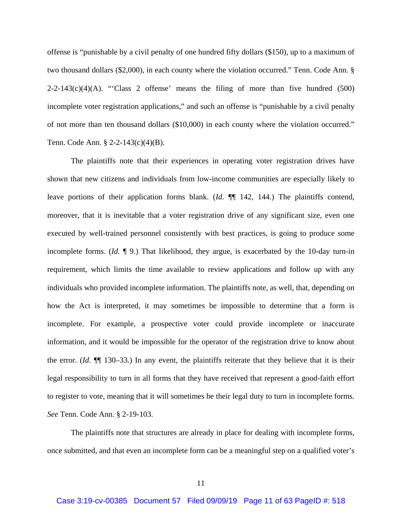offense is "punishable by a civil penalty of one hundred fifty dollars (\$150), up to a maximum of two thousand dollars (\$2,000), in each county where the violation occurred." Tenn. Code Ann. §  $2-2-143(c)(4)(A)$ . "Class 2 offense' means the filing of more than five hundred (500) incomplete voter registration applications," and such an offense is "punishable by a civil penalty of not more than ten thousand dollars (\$10,000) in each county where the violation occurred." Tenn. Code Ann. § 2-2-143(c)(4)(B).

The plaintiffs note that their experiences in operating voter registration drives have shown that new citizens and individuals from low-income communities are especially likely to leave portions of their application forms blank. (*Id.* ¶¶ 142, 144.) The plaintiffs contend, moreover, that it is inevitable that a voter registration drive of any significant size, even one executed by well-trained personnel consistently with best practices, is going to produce some incomplete forms. (*Id.* ¶ 9.) That likelihood, they argue, is exacerbated by the 10-day turn-in requirement, which limits the time available to review applications and follow up with any individuals who provided incomplete information. The plaintiffs note, as well, that, depending on how the Act is interpreted, it may sometimes be impossible to determine that a form is incomplete. For example, a prospective voter could provide incomplete or inaccurate information, and it would be impossible for the operator of the registration drive to know about the error. (*Id.* ¶¶ 130–33.) In any event, the plaintiffs reiterate that they believe that it is their legal responsibility to turn in all forms that they have received that represent a good-faith effort to register to vote, meaning that it will sometimes be their legal duty to turn in incomplete forms. *See* Tenn. Code Ann. § 2-19-103.

The plaintiffs note that structures are already in place for dealing with incomplete forms, once submitted, and that even an incomplete form can be a meaningful step on a qualified voter's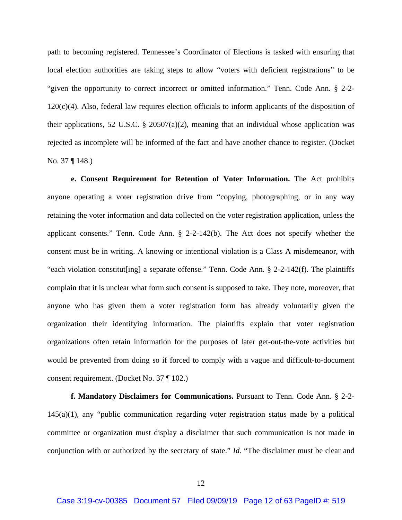path to becoming registered. Tennessee's Coordinator of Elections is tasked with ensuring that local election authorities are taking steps to allow "voters with deficient registrations" to be "given the opportunity to correct incorrect or omitted information." Tenn. Code Ann. § 2-2-  $120(c)(4)$ . Also, federal law requires election officials to inform applicants of the disposition of their applications, 52 U.S.C. § 20507(a)(2), meaning that an individual whose application was rejected as incomplete will be informed of the fact and have another chance to register. (Docket No. 37 ¶ 148.)

**e. Consent Requirement for Retention of Voter Information.** The Act prohibits anyone operating a voter registration drive from "copying, photographing, or in any way retaining the voter information and data collected on the voter registration application, unless the applicant consents." Tenn. Code Ann. § 2-2-142(b). The Act does not specify whether the consent must be in writing. A knowing or intentional violation is a Class A misdemeanor, with "each violation constitut[ing] a separate offense." Tenn. Code Ann. § 2-2-142(f). The plaintiffs complain that it is unclear what form such consent is supposed to take. They note, moreover, that anyone who has given them a voter registration form has already voluntarily given the organization their identifying information. The plaintiffs explain that voter registration organizations often retain information for the purposes of later get-out-the-vote activities but would be prevented from doing so if forced to comply with a vague and difficult-to-document consent requirement. (Docket No. 37 ¶ 102.)

**f. Mandatory Disclaimers for Communications.** Pursuant to Tenn. Code Ann. § 2-2- 145(a)(1), any "public communication regarding voter registration status made by a political committee or organization must display a disclaimer that such communication is not made in conjunction with or authorized by the secretary of state." *Id.* "The disclaimer must be clear and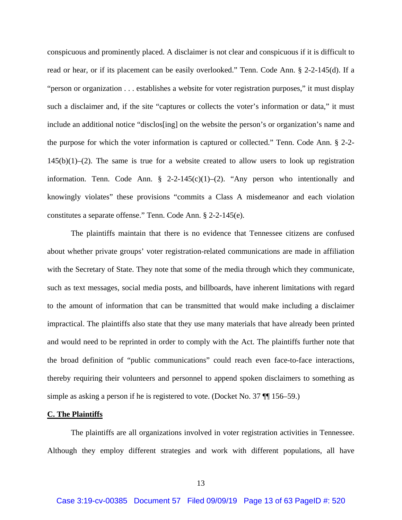conspicuous and prominently placed. A disclaimer is not clear and conspicuous if it is difficult to read or hear, or if its placement can be easily overlooked." Tenn. Code Ann. § 2-2-145(d). If a "person or organization . . . establishes a website for voter registration purposes," it must display such a disclaimer and, if the site "captures or collects the voter's information or data," it must include an additional notice "disclos[ing] on the website the person's or organization's name and the purpose for which the voter information is captured or collected." Tenn. Code Ann. § 2-2-  $145(b)(1)-(2)$ . The same is true for a website created to allow users to look up registration information. Tenn. Code Ann. § 2-2-145(c)(1)–(2). "Any person who intentionally and knowingly violates" these provisions "commits a Class A misdemeanor and each violation constitutes a separate offense." Tenn. Code Ann. § 2-2-145(e).

 The plaintiffs maintain that there is no evidence that Tennessee citizens are confused about whether private groups' voter registration-related communications are made in affiliation with the Secretary of State. They note that some of the media through which they communicate, such as text messages, social media posts, and billboards, have inherent limitations with regard to the amount of information that can be transmitted that would make including a disclaimer impractical. The plaintiffs also state that they use many materials that have already been printed and would need to be reprinted in order to comply with the Act. The plaintiffs further note that the broad definition of "public communications" could reach even face-to-face interactions, thereby requiring their volunteers and personnel to append spoken disclaimers to something as simple as asking a person if he is registered to vote. (Docket No. 37 ¶¶ 156–59.)

### **C. The Plaintiffs**

 The plaintiffs are all organizations involved in voter registration activities in Tennessee. Although they employ different strategies and work with different populations, all have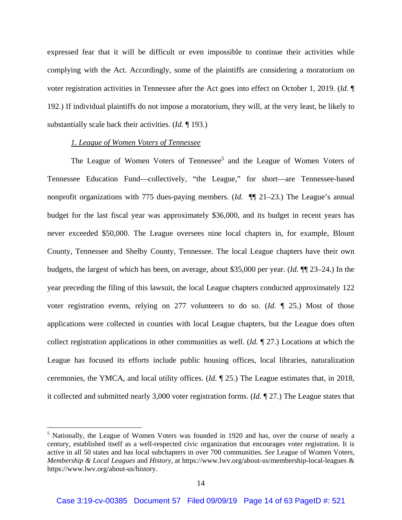expressed fear that it will be difficult or even impossible to continue their activities while complying with the Act. Accordingly, some of the plaintiffs are considering a moratorium on voter registration activities in Tennessee after the Act goes into effect on October 1, 2019. (*Id.* ¶ 192.) If individual plaintiffs do not impose a moratorium, they will, at the very least, be likely to substantially scale back their activities. (*Id.* ¶ 193.)

## *1. League of Women Voters of Tennessee*

The League of Women Voters of Tennessee<sup>5</sup> and the League of Women Voters of Tennessee Education Fund—collectively, "the League," for short—are Tennessee-based nonprofit organizations with 775 dues-paying members. (*Id.* ¶¶ 21–23.) The League's annual budget for the last fiscal year was approximately \$36,000, and its budget in recent years has never exceeded \$50,000. The League oversees nine local chapters in, for example, Blount County, Tennessee and Shelby County, Tennessee. The local League chapters have their own budgets, the largest of which has been, on average, about \$35,000 per year. (*Id.* ¶¶ 23–24.) In the year preceding the filing of this lawsuit, the local League chapters conducted approximately 122 voter registration events, relying on 277 volunteers to do so. (*Id.* ¶ 25.) Most of those applications were collected in counties with local League chapters, but the League does often collect registration applications in other communities as well. (*Id.* ¶ 27.) Locations at which the League has focused its efforts include public housing offices, local libraries, naturalization ceremonies, the YMCA, and local utility offices. (*Id.* ¶ 25.) The League estimates that, in 2018, it collected and submitted nearly 3,000 voter registration forms. (*Id.* ¶ 27.) The League states that

<sup>&</sup>lt;sup>5</sup> Nationally, the League of Women Voters was founded in 1920 and has, over the course of nearly a century, established itself as a well-respected civic organization that encourages voter registration. It is active in all 50 states and has local subchapters in over 700 communities. *See* League of Women Voters, *Membership & Local Leagues* and *History*, at https://www.lwv.org/about-us/membership-local-leagues & https://www.lwv.org/about-us/history.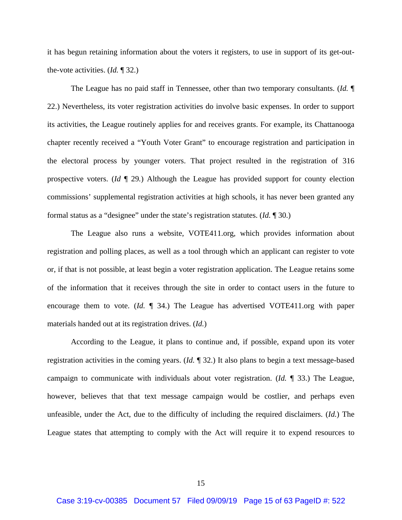it has begun retaining information about the voters it registers, to use in support of its get-outthe-vote activities. (*Id.* ¶ 32.)

The League has no paid staff in Tennessee, other than two temporary consultants. (*Id.* ¶ 22.) Nevertheless, its voter registration activities do involve basic expenses. In order to support its activities, the League routinely applies for and receives grants. For example, its Chattanooga chapter recently received a "Youth Voter Grant" to encourage registration and participation in the electoral process by younger voters. That project resulted in the registration of 316 prospective voters. (*Id* ¶ 29*.*) Although the League has provided support for county election commissions' supplemental registration activities at high schools, it has never been granted any formal status as a "designee" under the state's registration statutes. (*Id.* ¶ 30.)

The League also runs a website, VOTE411.org, which provides information about registration and polling places, as well as a tool through which an applicant can register to vote or, if that is not possible, at least begin a voter registration application. The League retains some of the information that it receives through the site in order to contact users in the future to encourage them to vote. (*Id.* ¶ 34.) The League has advertised VOTE411.org with paper materials handed out at its registration drives. (*Id.*)

According to the League, it plans to continue and, if possible, expand upon its voter registration activities in the coming years. (*Id.* ¶ 32.) It also plans to begin a text message-based campaign to communicate with individuals about voter registration. (*Id.* ¶ 33.) The League, however, believes that that text message campaign would be costlier, and perhaps even unfeasible, under the Act, due to the difficulty of including the required disclaimers. (*Id.*) The League states that attempting to comply with the Act will require it to expend resources to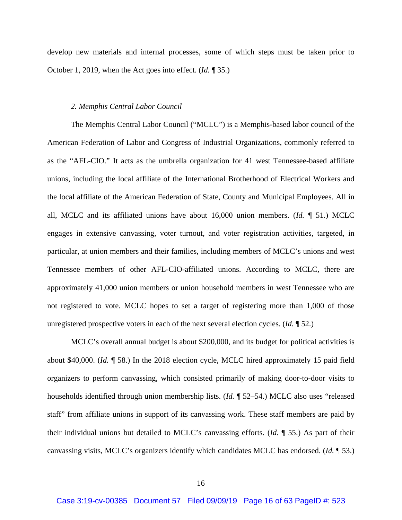develop new materials and internal processes, some of which steps must be taken prior to October 1, 2019, when the Act goes into effect. (*Id.* ¶ 35.)

## *2. Memphis Central Labor Council*

The Memphis Central Labor Council ("MCLC") is a Memphis-based labor council of the American Federation of Labor and Congress of Industrial Organizations, commonly referred to as the "AFL-CIO." It acts as the umbrella organization for 41 west Tennessee-based affiliate unions, including the local affiliate of the International Brotherhood of Electrical Workers and the local affiliate of the American Federation of State, County and Municipal Employees. All in all, MCLC and its affiliated unions have about 16,000 union members. (*Id.* ¶ 51.) MCLC engages in extensive canvassing, voter turnout, and voter registration activities, targeted, in particular, at union members and their families, including members of MCLC's unions and west Tennessee members of other AFL-CIO-affiliated unions. According to MCLC, there are approximately 41,000 union members or union household members in west Tennessee who are not registered to vote. MCLC hopes to set a target of registering more than 1,000 of those unregistered prospective voters in each of the next several election cycles. (*Id.* ¶ 52.)

MCLC's overall annual budget is about \$200,000, and its budget for political activities is about \$40,000. (*Id.* ¶ 58.) In the 2018 election cycle, MCLC hired approximately 15 paid field organizers to perform canvassing, which consisted primarily of making door-to-door visits to households identified through union membership lists. (*Id.* ¶ 52–54.) MCLC also uses "released staff" from affiliate unions in support of its canvassing work. These staff members are paid by their individual unions but detailed to MCLC's canvassing efforts. (*Id.* ¶ 55.) As part of their canvassing visits, MCLC's organizers identify which candidates MCLC has endorsed. (*Id.* ¶ 53.)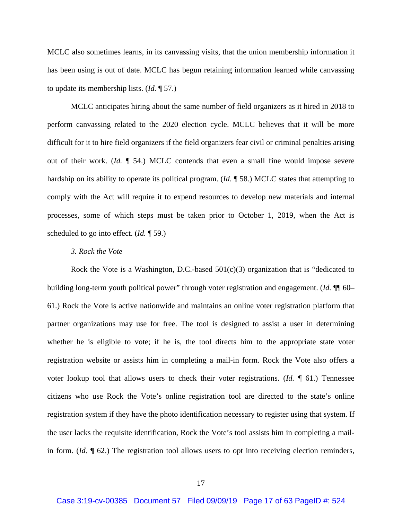MCLC also sometimes learns, in its canvassing visits, that the union membership information it has been using is out of date. MCLC has begun retaining information learned while canvassing to update its membership lists. (*Id.* ¶ 57.)

MCLC anticipates hiring about the same number of field organizers as it hired in 2018 to perform canvassing related to the 2020 election cycle. MCLC believes that it will be more difficult for it to hire field organizers if the field organizers fear civil or criminal penalties arising out of their work. (*Id.* ¶ 54.) MCLC contends that even a small fine would impose severe hardship on its ability to operate its political program. (*Id.* ¶ 58.) MCLC states that attempting to comply with the Act will require it to expend resources to develop new materials and internal processes, some of which steps must be taken prior to October 1, 2019, when the Act is scheduled to go into effect. (*Id.* ¶ 59.)

#### *3. Rock the Vote*

Rock the Vote is a Washington, D.C.-based  $501(c)(3)$  organization that is "dedicated to building long-term youth political power" through voter registration and engagement. (*Id.* ¶¶ 60– 61.) Rock the Vote is active nationwide and maintains an online voter registration platform that partner organizations may use for free. The tool is designed to assist a user in determining whether he is eligible to vote; if he is, the tool directs him to the appropriate state voter registration website or assists him in completing a mail-in form. Rock the Vote also offers a voter lookup tool that allows users to check their voter registrations. (*Id.* ¶ 61.) Tennessee citizens who use Rock the Vote's online registration tool are directed to the state's online registration system if they have the photo identification necessary to register using that system. If the user lacks the requisite identification, Rock the Vote's tool assists him in completing a mailin form. (*Id.* ¶ 62.) The registration tool allows users to opt into receiving election reminders,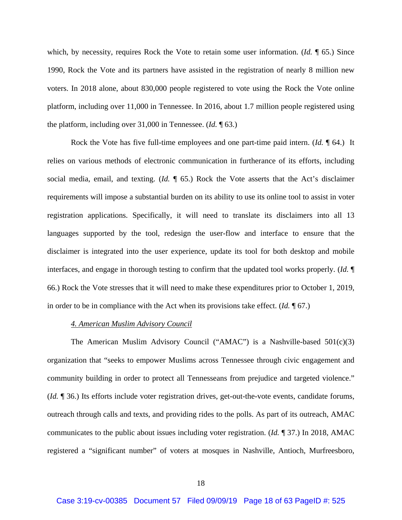which, by necessity, requires Rock the Vote to retain some user information. (*Id.* ¶ 65.) Since 1990, Rock the Vote and its partners have assisted in the registration of nearly 8 million new voters. In 2018 alone, about 830,000 people registered to vote using the Rock the Vote online platform, including over 11,000 in Tennessee. In 2016, about 1.7 million people registered using the platform, including over 31,000 in Tennessee. (*Id.* ¶ 63.)

Rock the Vote has five full-time employees and one part-time paid intern. (*Id.* ¶ 64.) It relies on various methods of electronic communication in furtherance of its efforts, including social media, email, and texting. (*Id.* ¶ 65.) Rock the Vote asserts that the Act's disclaimer requirements will impose a substantial burden on its ability to use its online tool to assist in voter registration applications. Specifically, it will need to translate its disclaimers into all 13 languages supported by the tool, redesign the user-flow and interface to ensure that the disclaimer is integrated into the user experience, update its tool for both desktop and mobile interfaces, and engage in thorough testing to confirm that the updated tool works properly. (*Id.* ¶ 66.) Rock the Vote stresses that it will need to make these expenditures prior to October 1, 2019, in order to be in compliance with the Act when its provisions take effect. (*Id.* ¶ 67.)

### *4. American Muslim Advisory Council*

The American Muslim Advisory Council ("AMAC") is a Nashville-based  $501(c)(3)$ organization that "seeks to empower Muslims across Tennessee through civic engagement and community building in order to protect all Tennesseans from prejudice and targeted violence." (*Id.* ¶ 36.) Its efforts include voter registration drives, get-out-the-vote events, candidate forums, outreach through calls and texts, and providing rides to the polls. As part of its outreach, AMAC communicates to the public about issues including voter registration. (*Id.* ¶ 37.) In 2018, AMAC registered a "significant number" of voters at mosques in Nashville, Antioch, Murfreesboro,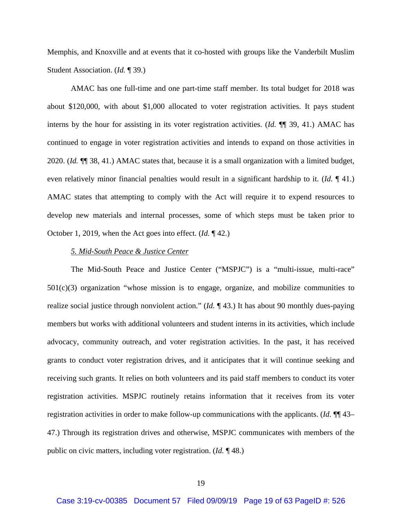Memphis, and Knoxville and at events that it co-hosted with groups like the Vanderbilt Muslim Student Association. (*Id.* ¶ 39.)

AMAC has one full-time and one part-time staff member. Its total budget for 2018 was about \$120,000, with about \$1,000 allocated to voter registration activities. It pays student interns by the hour for assisting in its voter registration activities. (*Id.* ¶¶ 39, 41.) AMAC has continued to engage in voter registration activities and intends to expand on those activities in 2020. (*Id.* ¶¶ 38, 41.) AMAC states that, because it is a small organization with a limited budget, even relatively minor financial penalties would result in a significant hardship to it. (*Id.* ¶ 41.) AMAC states that attempting to comply with the Act will require it to expend resources to develop new materials and internal processes, some of which steps must be taken prior to October 1, 2019, when the Act goes into effect. (*Id.* ¶ 42.)

## *5. Mid-South Peace & Justice Center*

The Mid-South Peace and Justice Center ("MSPJC") is a "multi-issue, multi-race"  $501(c)(3)$  organization "whose mission is to engage, organize, and mobilize communities to realize social justice through nonviolent action." (*Id.* ¶ 43.) It has about 90 monthly dues-paying members but works with additional volunteers and student interns in its activities, which include advocacy, community outreach, and voter registration activities. In the past, it has received grants to conduct voter registration drives, and it anticipates that it will continue seeking and receiving such grants. It relies on both volunteers and its paid staff members to conduct its voter registration activities. MSPJC routinely retains information that it receives from its voter registration activities in order to make follow-up communications with the applicants. (*Id.* ¶¶ 43– 47.) Through its registration drives and otherwise, MSPJC communicates with members of the public on civic matters, including voter registration. (*Id.* ¶ 48.)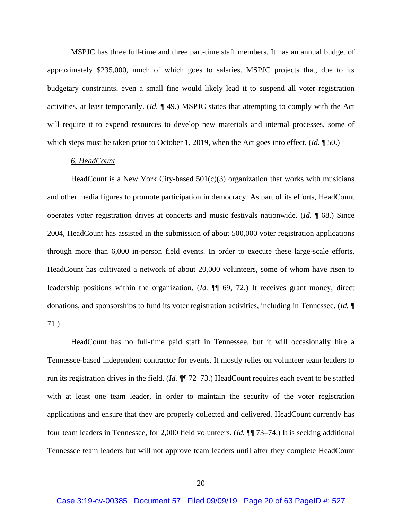MSPJC has three full-time and three part-time staff members. It has an annual budget of approximately \$235,000, much of which goes to salaries. MSPJC projects that, due to its budgetary constraints, even a small fine would likely lead it to suspend all voter registration activities, at least temporarily. (*Id.* ¶ 49.) MSPJC states that attempting to comply with the Act will require it to expend resources to develop new materials and internal processes, some of which steps must be taken prior to October 1, 2019, when the Act goes into effect. (*Id.* ¶ 50.)

## *6. HeadCount*

HeadCount is a New York City-based  $501(c)(3)$  organization that works with musicians and other media figures to promote participation in democracy. As part of its efforts, HeadCount operates voter registration drives at concerts and music festivals nationwide. (*Id.* ¶ 68.) Since 2004, HeadCount has assisted in the submission of about 500,000 voter registration applications through more than 6,000 in-person field events. In order to execute these large-scale efforts, HeadCount has cultivated a network of about 20,000 volunteers, some of whom have risen to leadership positions within the organization. (*Id.* ¶¶ 69, 72.) It receives grant money, direct donations, and sponsorships to fund its voter registration activities, including in Tennessee. (*Id.* ¶ 71.)

HeadCount has no full-time paid staff in Tennessee, but it will occasionally hire a Tennessee-based independent contractor for events. It mostly relies on volunteer team leaders to run its registration drives in the field. (*Id.* ¶¶ 72–73.) HeadCount requires each event to be staffed with at least one team leader, in order to maintain the security of the voter registration applications and ensure that they are properly collected and delivered. HeadCount currently has four team leaders in Tennessee, for 2,000 field volunteers. (*Id.* ¶¶ 73–74.) It is seeking additional Tennessee team leaders but will not approve team leaders until after they complete HeadCount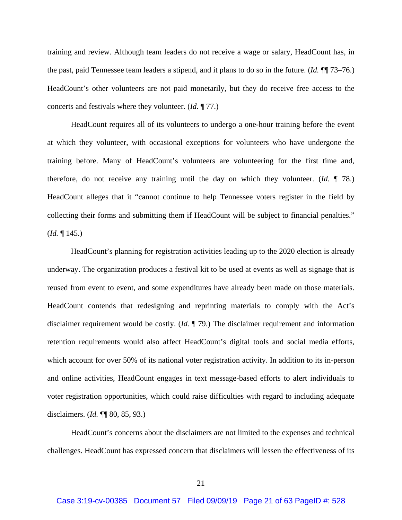training and review. Although team leaders do not receive a wage or salary, HeadCount has, in the past, paid Tennessee team leaders a stipend, and it plans to do so in the future. (*Id.* ¶¶ 73–76.) HeadCount's other volunteers are not paid monetarily, but they do receive free access to the concerts and festivals where they volunteer. (*Id.* ¶ 77.)

HeadCount requires all of its volunteers to undergo a one-hour training before the event at which they volunteer, with occasional exceptions for volunteers who have undergone the training before. Many of HeadCount's volunteers are volunteering for the first time and, therefore, do not receive any training until the day on which they volunteer. (*Id.* ¶ 78.) HeadCount alleges that it "cannot continue to help Tennessee voters register in the field by collecting their forms and submitting them if HeadCount will be subject to financial penalties." (*Id.* ¶ 145.)

HeadCount's planning for registration activities leading up to the 2020 election is already underway. The organization produces a festival kit to be used at events as well as signage that is reused from event to event, and some expenditures have already been made on those materials. HeadCount contends that redesigning and reprinting materials to comply with the Act's disclaimer requirement would be costly. (*Id.* ¶ 79.) The disclaimer requirement and information retention requirements would also affect HeadCount's digital tools and social media efforts, which account for over 50% of its national voter registration activity. In addition to its in-person and online activities, HeadCount engages in text message-based efforts to alert individuals to voter registration opportunities, which could raise difficulties with regard to including adequate disclaimers. (*Id.* ¶¶ 80, 85, 93.)

HeadCount's concerns about the disclaimers are not limited to the expenses and technical challenges. HeadCount has expressed concern that disclaimers will lessen the effectiveness of its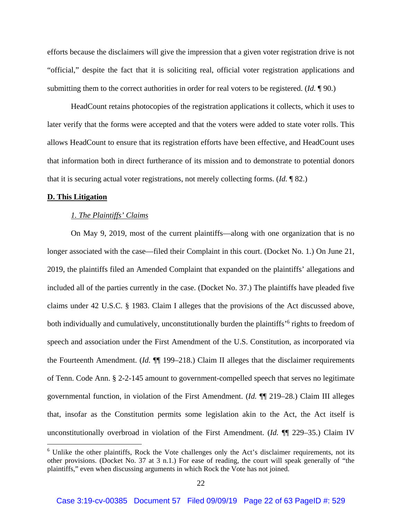efforts because the disclaimers will give the impression that a given voter registration drive is not "official," despite the fact that it is soliciting real, official voter registration applications and submitting them to the correct authorities in order for real voters to be registered. (*Id.* ¶ 90.)

HeadCount retains photocopies of the registration applications it collects, which it uses to later verify that the forms were accepted and that the voters were added to state voter rolls. This allows HeadCount to ensure that its registration efforts have been effective, and HeadCount uses that information both in direct furtherance of its mission and to demonstrate to potential donors that it is securing actual voter registrations, not merely collecting forms. (*Id.* ¶ 82.)

#### **D. This Litigation**

#### *1. The Plaintiffs' Claims*

On May 9, 2019, most of the current plaintiffs—along with one organization that is no longer associated with the case—filed their Complaint in this court. (Docket No. 1.) On June 21, 2019, the plaintiffs filed an Amended Complaint that expanded on the plaintiffs' allegations and included all of the parties currently in the case. (Docket No. 37.) The plaintiffs have pleaded five claims under 42 U.S.C. § 1983. Claim I alleges that the provisions of the Act discussed above, both individually and cumulatively, unconstitutionally burden the plaintiffs<sup>'6</sup> rights to freedom of speech and association under the First Amendment of the U.S. Constitution, as incorporated via the Fourteenth Amendment. (*Id.* ¶¶ 199–218.) Claim II alleges that the disclaimer requirements of Tenn. Code Ann. § 2-2-145 amount to government-compelled speech that serves no legitimate governmental function, in violation of the First Amendment. (*Id.* ¶¶ 219–28.) Claim III alleges that, insofar as the Constitution permits some legislation akin to the Act, the Act itself is unconstitutionally overbroad in violation of the First Amendment. (*Id.* ¶¶ 229–35.) Claim IV

<sup>&</sup>lt;sup>6</sup> Unlike the other plaintiffs, Rock the Vote challenges only the Act's disclaimer requirements, not its other provisions. (Docket No. 37 at 3 n.1.) For ease of reading, the court will speak generally of "the plaintiffs," even when discussing arguments in which Rock the Vote has not joined.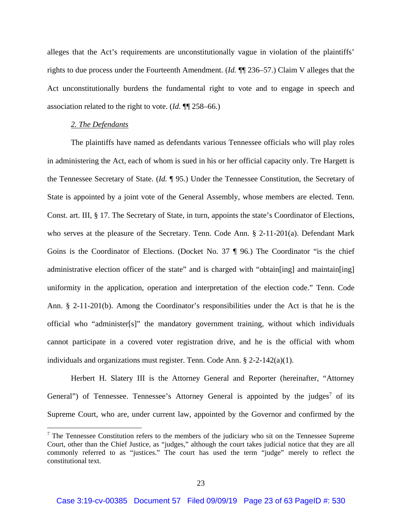alleges that the Act's requirements are unconstitutionally vague in violation of the plaintiffs' rights to due process under the Fourteenth Amendment. (*Id.* ¶¶ 236–57.) Claim V alleges that the Act unconstitutionally burdens the fundamental right to vote and to engage in speech and association related to the right to vote. (*Id.* ¶¶ 258–66.)

## *2. The Defendants*

The plaintiffs have named as defendants various Tennessee officials who will play roles in administering the Act, each of whom is sued in his or her official capacity only. Tre Hargett is the Tennessee Secretary of State. (*Id.* ¶ 95.) Under the Tennessee Constitution, the Secretary of State is appointed by a joint vote of the General Assembly, whose members are elected. Tenn. Const. art. III, § 17. The Secretary of State, in turn, appoints the state's Coordinator of Elections, who serves at the pleasure of the Secretary. Tenn. Code Ann. § 2-11-201(a). Defendant Mark Goins is the Coordinator of Elections. (Docket No. 37 ¶ 96.) The Coordinator "is the chief administrative election officer of the state" and is charged with "obtain[ing] and maintain[ing] uniformity in the application, operation and interpretation of the election code." Tenn. Code Ann. § 2-11-201(b). Among the Coordinator's responsibilities under the Act is that he is the official who "administer[s]" the mandatory government training, without which individuals cannot participate in a covered voter registration drive, and he is the official with whom individuals and organizations must register. Tenn. Code Ann. § 2-2-142(a)(1).

Herbert H. Slatery III is the Attorney General and Reporter (hereinafter, "Attorney General") of Tennessee. Tennessee's Attorney General is appointed by the judges<sup>7</sup> of its Supreme Court, who are, under current law, appointed by the Governor and confirmed by the

 $7$  The Tennessee Constitution refers to the members of the judiciary who sit on the Tennessee Supreme Court, other than the Chief Justice, as "judges," although the court takes judicial notice that they are all commonly referred to as "justices." The court has used the term "judge" merely to reflect the constitutional text.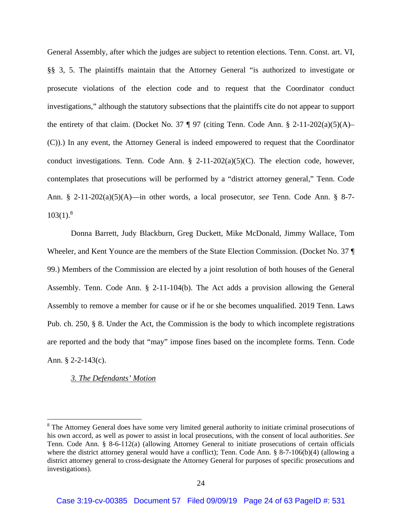General Assembly, after which the judges are subject to retention elections. Tenn. Const. art. VI, §§ 3, 5. The plaintiffs maintain that the Attorney General "is authorized to investigate or prosecute violations of the election code and to request that the Coordinator conduct investigations," although the statutory subsections that the plaintiffs cite do not appear to support the entirety of that claim. (Docket No. 37  $\parallel$  97 (citing Tenn. Code Ann. § 2-11-202(a)(5)(A)– (C)).) In any event, the Attorney General is indeed empowered to request that the Coordinator conduct investigations. Tenn. Code Ann.  $\S$  2-11-202(a)(5)(C). The election code, however, contemplates that prosecutions will be performed by a "district attorney general," Tenn. Code Ann. § 2-11-202(a)(5)(A)—in other words, a local prosecutor, *see* Tenn. Code Ann. § 8-7-  $103(1).$ <sup>8</sup>

Donna Barrett, Judy Blackburn, Greg Duckett, Mike McDonald, Jimmy Wallace, Tom Wheeler, and Kent Younce are the members of the State Election Commission. (Docket No. 37 ¶ 99.) Members of the Commission are elected by a joint resolution of both houses of the General Assembly. Tenn. Code Ann. § 2-11-104(b). The Act adds a provision allowing the General Assembly to remove a member for cause or if he or she becomes unqualified. 2019 Tenn. Laws Pub. ch. 250, § 8. Under the Act, the Commission is the body to which incomplete registrations are reported and the body that "may" impose fines based on the incomplete forms. Tenn. Code Ann. § 2-2-143(c).

## *3. The Defendants' Motion*

<sup>&</sup>lt;sup>8</sup> The Attorney General does have some very limited general authority to initiate criminal prosecutions of his own accord, as well as power to assist in local prosecutions, with the consent of local authorities. *See* Tenn. Code Ann. § 8-6-112(a) (allowing Attorney General to initiate prosecutions of certain officials where the district attorney general would have a conflict); Tenn. Code Ann. § 8-7-106(b)(4) (allowing a district attorney general to cross-designate the Attorney General for purposes of specific prosecutions and investigations).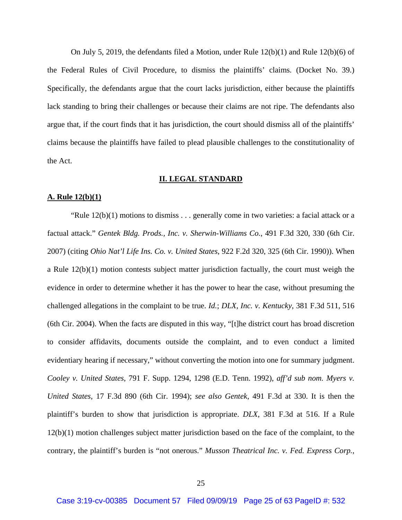On July 5, 2019, the defendants filed a Motion, under Rule  $12(b)(1)$  and Rule  $12(b)(6)$  of the Federal Rules of Civil Procedure, to dismiss the plaintiffs' claims. (Docket No. 39.) Specifically, the defendants argue that the court lacks jurisdiction, either because the plaintiffs lack standing to bring their challenges or because their claims are not ripe. The defendants also argue that, if the court finds that it has jurisdiction, the court should dismiss all of the plaintiffs' claims because the plaintiffs have failed to plead plausible challenges to the constitutionality of the Act.

#### **II. LEGAL STANDARD**

### **A. Rule 12(b)(1)**

"Rule  $12(b)(1)$  motions to dismiss . . . generally come in two varieties: a facial attack or a factual attack." *Gentek Bldg. Prods., Inc. v. Sherwin-Williams Co.*, 491 F.3d 320, 330 (6th Cir. 2007) (citing *Ohio Nat'l Life Ins. Co. v. United States*, 922 F.2d 320, 325 (6th Cir. 1990)). When a Rule  $12(b)(1)$  motion contests subject matter jurisdiction factually, the court must weigh the evidence in order to determine whether it has the power to hear the case, without presuming the challenged allegations in the complaint to be true. *Id.*; *DLX, Inc. v. Kentucky*, 381 F.3d 511, 516 (6th Cir. 2004). When the facts are disputed in this way, "[t]he district court has broad discretion to consider affidavits, documents outside the complaint, and to even conduct a limited evidentiary hearing if necessary," without converting the motion into one for summary judgment. *Cooley v. United States*, 791 F. Supp. 1294, 1298 (E.D. Tenn. 1992), *aff'd sub nom. Myers v. United States*, 17 F.3d 890 (6th Cir. 1994); *see also Gentek*, 491 F.3d at 330. It is then the plaintiff's burden to show that jurisdiction is appropriate. *DLX*, 381 F.3d at 516. If a Rule 12(b)(1) motion challenges subject matter jurisdiction based on the face of the complaint, to the contrary, the plaintiff's burden is "not onerous." *Musson Theatrical Inc. v. Fed. Express Corp.*,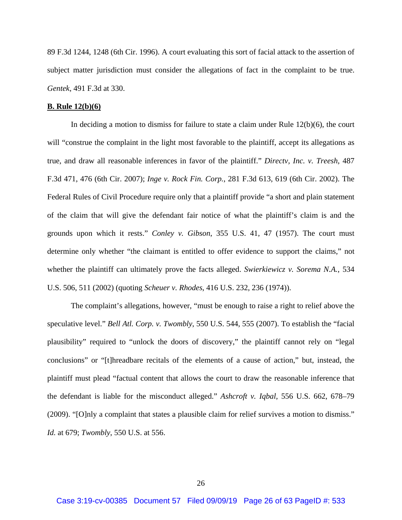89 F.3d 1244, 1248 (6th Cir. 1996). A court evaluating this sort of facial attack to the assertion of subject matter jurisdiction must consider the allegations of fact in the complaint to be true. *Gentek*, 491 F.3d at 330.

#### **B. Rule 12(b)(6)**

In deciding a motion to dismiss for failure to state a claim under Rule 12(b)(6), the court will "construe the complaint in the light most favorable to the plaintiff, accept its allegations as true, and draw all reasonable inferences in favor of the plaintiff." *Directv, Inc. v. Treesh*, 487 F.3d 471, 476 (6th Cir. 2007); *Inge v. Rock Fin. Corp.*, 281 F.3d 613, 619 (6th Cir. 2002). The Federal Rules of Civil Procedure require only that a plaintiff provide "a short and plain statement of the claim that will give the defendant fair notice of what the plaintiff's claim is and the grounds upon which it rests." *Conley v. Gibson*, 355 U.S. 41, 47 (1957). The court must determine only whether "the claimant is entitled to offer evidence to support the claims," not whether the plaintiff can ultimately prove the facts alleged. *Swierkiewicz v. Sorema N.A.*, 534 U.S. 506, 511 (2002) (quoting *Scheuer v. Rhodes*, 416 U.S. 232, 236 (1974)).

The complaint's allegations, however, "must be enough to raise a right to relief above the speculative level." *Bell Atl. Corp. v. Twombly*, 550 U.S. 544, 555 (2007). To establish the "facial plausibility" required to "unlock the doors of discovery," the plaintiff cannot rely on "legal conclusions" or "[t]hreadbare recitals of the elements of a cause of action," but, instead, the plaintiff must plead "factual content that allows the court to draw the reasonable inference that the defendant is liable for the misconduct alleged." *Ashcroft v. Iqbal*, 556 U.S. 662, 678–79 (2009). "[O]nly a complaint that states a plausible claim for relief survives a motion to dismiss." *Id.* at 679; *Twombly*, 550 U.S. at 556.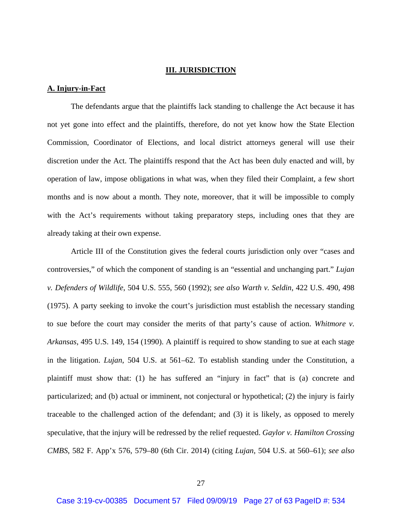## **III. JURISDICTION**

## **A. Injury-in-Fact**

The defendants argue that the plaintiffs lack standing to challenge the Act because it has not yet gone into effect and the plaintiffs, therefore, do not yet know how the State Election Commission, Coordinator of Elections, and local district attorneys general will use their discretion under the Act. The plaintiffs respond that the Act has been duly enacted and will, by operation of law, impose obligations in what was, when they filed their Complaint, a few short months and is now about a month. They note, moreover, that it will be impossible to comply with the Act's requirements without taking preparatory steps, including ones that they are already taking at their own expense.

Article III of the Constitution gives the federal courts jurisdiction only over "cases and controversies," of which the component of standing is an "essential and unchanging part." *Lujan v. Defenders of Wildlife*, 504 U.S. 555, 560 (1992); *see also Warth v. Seldin*, 422 U.S. 490, 498 (1975). A party seeking to invoke the court's jurisdiction must establish the necessary standing to sue before the court may consider the merits of that party's cause of action. *Whitmore v. Arkansas*, 495 U.S. 149, 154 (1990). A plaintiff is required to show standing to sue at each stage in the litigation. *Lujan*, 504 U.S. at 561–62. To establish standing under the Constitution, a plaintiff must show that: (1) he has suffered an "injury in fact" that is (a) concrete and particularized; and (b) actual or imminent, not conjectural or hypothetical; (2) the injury is fairly traceable to the challenged action of the defendant; and (3) it is likely, as opposed to merely speculative, that the injury will be redressed by the relief requested. *Gaylor v. Hamilton Crossing CMBS*, 582 F. App'x 576, 579–80 (6th Cir. 2014) (citing *Lujan*, 504 U.S. at 560–61); *see also*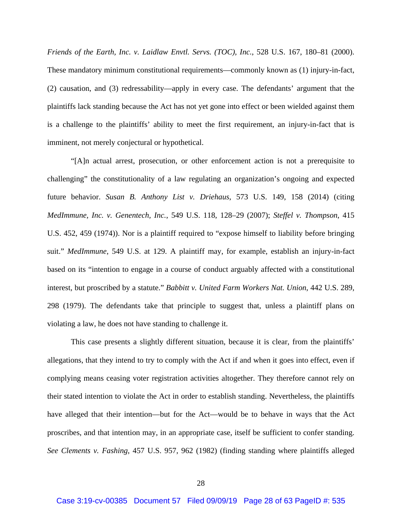*Friends of the Earth, Inc. v. Laidlaw Envtl. Servs. (TOC), Inc.*, 528 U.S. 167, 180–81 (2000). These mandatory minimum constitutional requirements—commonly known as (1) injury-in-fact, (2) causation, and (3) redressability—apply in every case. The defendants' argument that the plaintiffs lack standing because the Act has not yet gone into effect or been wielded against them is a challenge to the plaintiffs' ability to meet the first requirement, an injury-in-fact that is imminent, not merely conjectural or hypothetical.

"[A]n actual arrest, prosecution, or other enforcement action is not a prerequisite to challenging" the constitutionality of a law regulating an organization's ongoing and expected future behavior. *Susan B. Anthony List v. Driehaus*, 573 U.S. 149, 158 (2014) (citing *MedImmune, Inc. v. Genentech, Inc.*, 549 U.S. 118, 128–29 (2007); *Steffel v. Thompson*, 415 U.S. 452, 459 (1974)). Nor is a plaintiff required to "expose himself to liability before bringing suit." *MedImmune*, 549 U.S. at 129. A plaintiff may, for example, establish an injury-in-fact based on its "intention to engage in a course of conduct arguably affected with a constitutional interest, but proscribed by a statute." *Babbitt v. United Farm Workers Nat. Union*, 442 U.S. 289, 298 (1979). The defendants take that principle to suggest that, unless a plaintiff plans on violating a law, he does not have standing to challenge it.

This case presents a slightly different situation, because it is clear, from the plaintiffs' allegations, that they intend to try to comply with the Act if and when it goes into effect, even if complying means ceasing voter registration activities altogether. They therefore cannot rely on their stated intention to violate the Act in order to establish standing. Nevertheless, the plaintiffs have alleged that their intention—but for the Act—would be to behave in ways that the Act proscribes, and that intention may, in an appropriate case, itself be sufficient to confer standing. *See Clements v. Fashing*, 457 U.S. 957, 962 (1982) (finding standing where plaintiffs alleged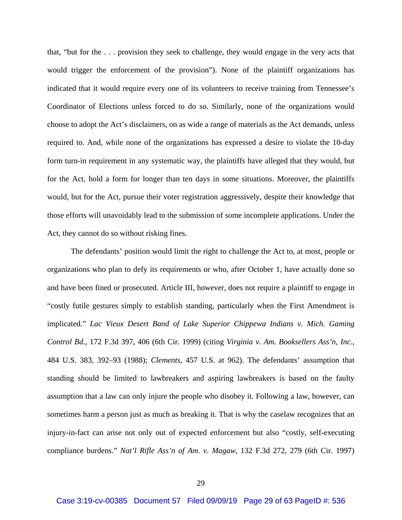that, "but for the . . . provision they seek to challenge, they would engage in the very acts that would trigger the enforcement of the provision"). None of the plaintiff organizations has indicated that it would require every one of its volunteers to receive training from Tennessee's Coordinator of Elections unless forced to do so. Similarly, none of the organizations would choose to adopt the Act's disclaimers, on as wide a range of materials as the Act demands, unless required to. And, while none of the organizations has expressed a desire to violate the 10-day form turn-in requirement in any systematic way, the plaintiffs have alleged that they would, but for the Act, hold a form for longer than ten days in some situations. Moreover, the plaintiffs would, but for the Act, pursue their voter registration aggressively, despite their knowledge that those efforts will unavoidably lead to the submission of some incomplete applications. Under the Act, they cannot do so without risking fines.

The defendants' position would limit the right to challenge the Act to, at most, people or organizations who plan to defy its requirements or who, after October 1, have actually done so and have been fined or prosecuted. Article III, however, does not require a plaintiff to engage in "costly futile gestures simply to establish standing, particularly when the First Amendment is implicated." *Lac Vieux Desert Band of Lake Superior Chippewa Indians v. Mich. Gaming Control Bd.*, 172 F.3d 397, 406 (6th Cir. 1999) (citing *Virginia v. Am. Booksellers Ass'n, Inc.*, 484 U.S. 383, 392–93 (1988); *Clements*, 457 U.S. at 962). The defendants' assumption that standing should be limited to lawbreakers and aspiring lawbreakers is based on the faulty assumption that a law can only injure the people who disobey it. Following a law, however, can sometimes harm a person just as much as breaking it. That is why the caselaw recognizes that an injury-in-fact can arise not only out of expected enforcement but also "costly, self-executing compliance burdens." *Nat'l Rifle Ass'n of Am. v. Magaw*, 132 F.3d 272, 279 (6th Cir. 1997)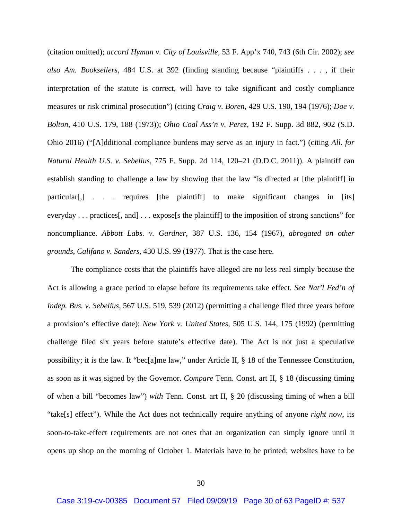(citation omitted); *accord Hyman v. City of Louisville*, 53 F. App'x 740, 743 (6th Cir. 2002); *see also Am. Booksellers*, 484 U.S. at 392 (finding standing because "plaintiffs . . . , if their interpretation of the statute is correct, will have to take significant and costly compliance measures or risk criminal prosecution") (citing *Craig v. Boren*, 429 U.S. 190, 194 (1976); *Doe v. Bolton*, 410 U.S. 179, 188 (1973)); *Ohio Coal Ass'n v. Perez*, 192 F. Supp. 3d 882, 902 (S.D. Ohio 2016) ("[A]dditional compliance burdens may serve as an injury in fact.") (citing *All. for Natural Health U.S. v. Sebelius*, 775 F. Supp. 2d 114, 120–21 (D.D.C. 2011)). A plaintiff can establish standing to challenge a law by showing that the law "is directed at [the plaintiff] in particular[,] . . . requires [the plaintiff] to make significant changes in [its] everyday . . . practices[, and] . . . expose[s the plaintiff] to the imposition of strong sanctions" for noncompliance. *Abbott Labs. v. Gardner*, 387 U.S. 136, 154 (1967), *abrogated on other grounds*, *Califano v. Sanders*, 430 U.S. 99 (1977). That is the case here.

The compliance costs that the plaintiffs have alleged are no less real simply because the Act is allowing a grace period to elapse before its requirements take effect. *See Nat'l Fed'n of Indep. Bus. v. Sebelius*, 567 U.S. 519, 539 (2012) (permitting a challenge filed three years before a provision's effective date); *New York v. United States*, 505 U.S. 144, 175 (1992) (permitting challenge filed six years before statute's effective date). The Act is not just a speculative possibility; it is the law. It "bec[a]me law," under Article II, § 18 of the Tennessee Constitution, as soon as it was signed by the Governor. *Compare* Tenn. Const. art II, § 18 (discussing timing of when a bill "becomes law") *with* Tenn. Const. art II, § 20 (discussing timing of when a bill "take[s] effect"). While the Act does not technically require anything of anyone *right now*, its soon-to-take-effect requirements are not ones that an organization can simply ignore until it opens up shop on the morning of October 1. Materials have to be printed; websites have to be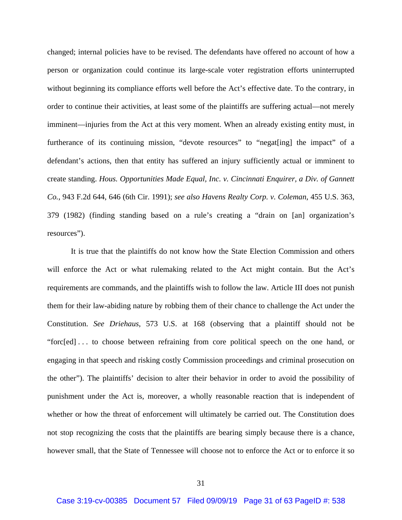changed; internal policies have to be revised. The defendants have offered no account of how a person or organization could continue its large-scale voter registration efforts uninterrupted without beginning its compliance efforts well before the Act's effective date. To the contrary, in order to continue their activities, at least some of the plaintiffs are suffering actual—not merely imminent—injuries from the Act at this very moment. When an already existing entity must, in furtherance of its continuing mission, "devote resources" to "negat[ing] the impact" of a defendant's actions, then that entity has suffered an injury sufficiently actual or imminent to create standing. *Hous. Opportunities Made Equal, Inc. v. Cincinnati Enquirer, a Div. of Gannett Co.*, 943 F.2d 644, 646 (6th Cir. 1991); *see also Havens Realty Corp. v. Coleman*, 455 U.S. 363, 379 (1982) (finding standing based on a rule's creating a "drain on [an] organization's resources").

It is true that the plaintiffs do not know how the State Election Commission and others will enforce the Act or what rulemaking related to the Act might contain. But the Act's requirements are commands, and the plaintiffs wish to follow the law. Article III does not punish them for their law-abiding nature by robbing them of their chance to challenge the Act under the Constitution. *See Driehaus*, 573 U.S. at 168 (observing that a plaintiff should not be "forc[ed] . . . to choose between refraining from core political speech on the one hand, or engaging in that speech and risking costly Commission proceedings and criminal prosecution on the other"). The plaintiffs' decision to alter their behavior in order to avoid the possibility of punishment under the Act is, moreover, a wholly reasonable reaction that is independent of whether or how the threat of enforcement will ultimately be carried out. The Constitution does not stop recognizing the costs that the plaintiffs are bearing simply because there is a chance, however small, that the State of Tennessee will choose not to enforce the Act or to enforce it so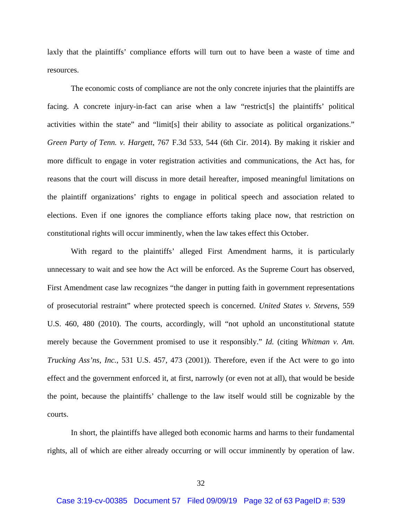laxly that the plaintiffs' compliance efforts will turn out to have been a waste of time and resources.

The economic costs of compliance are not the only concrete injuries that the plaintiffs are facing. A concrete injury-in-fact can arise when a law "restrict[s] the plaintiffs' political activities within the state" and "limit[s] their ability to associate as political organizations." *Green Party of Tenn. v. Hargett*, 767 F.3d 533, 544 (6th Cir. 2014). By making it riskier and more difficult to engage in voter registration activities and communications, the Act has, for reasons that the court will discuss in more detail hereafter, imposed meaningful limitations on the plaintiff organizations' rights to engage in political speech and association related to elections. Even if one ignores the compliance efforts taking place now, that restriction on constitutional rights will occur imminently, when the law takes effect this October.

With regard to the plaintiffs' alleged First Amendment harms, it is particularly unnecessary to wait and see how the Act will be enforced. As the Supreme Court has observed, First Amendment case law recognizes "the danger in putting faith in government representations of prosecutorial restraint" where protected speech is concerned. *United States v. Stevens*, 559 U.S. 460, 480 (2010). The courts, accordingly, will "not uphold an unconstitutional statute merely because the Government promised to use it responsibly." *Id.* (citing *Whitman v. Am. Trucking Ass'ns, Inc.*, 531 U.S. 457, 473 (2001)). Therefore, even if the Act were to go into effect and the government enforced it, at first, narrowly (or even not at all), that would be beside the point, because the plaintiffs' challenge to the law itself would still be cognizable by the courts.

In short, the plaintiffs have alleged both economic harms and harms to their fundamental rights, all of which are either already occurring or will occur imminently by operation of law.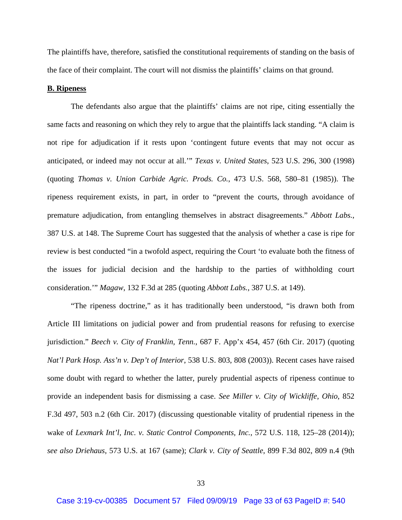The plaintiffs have, therefore, satisfied the constitutional requirements of standing on the basis of the face of their complaint. The court will not dismiss the plaintiffs' claims on that ground.

### **B. Ripeness**

The defendants also argue that the plaintiffs' claims are not ripe, citing essentially the same facts and reasoning on which they rely to argue that the plaintiffs lack standing. "A claim is not ripe for adjudication if it rests upon 'contingent future events that may not occur as anticipated, or indeed may not occur at all.'" *Texas v. United States*, 523 U.S. 296, 300 (1998) (quoting *Thomas v. Union Carbide Agric. Prods. Co.*, 473 U.S. 568, 580–81 (1985)). The ripeness requirement exists, in part, in order to "prevent the courts, through avoidance of premature adjudication, from entangling themselves in abstract disagreements." *Abbott Labs.*, 387 U.S. at 148. The Supreme Court has suggested that the analysis of whether a case is ripe for review is best conducted "in a twofold aspect, requiring the Court 'to evaluate both the fitness of the issues for judicial decision and the hardship to the parties of withholding court consideration.'" *Magaw*, 132 F.3d at 285 (quoting *Abbott Labs.*, 387 U.S. at 149).

"The ripeness doctrine," as it has traditionally been understood, "is drawn both from Article III limitations on judicial power and from prudential reasons for refusing to exercise jurisdiction." *Beech v. City of Franklin, Tenn.*, 687 F. App'x 454, 457 (6th Cir. 2017) (quoting *Nat'l Park Hosp. Ass'n v. Dep't of Interior*, 538 U.S. 803, 808 (2003)). Recent cases have raised some doubt with regard to whether the latter, purely prudential aspects of ripeness continue to provide an independent basis for dismissing a case. *See Miller v. City of Wickliffe, Ohio*, 852 F.3d 497, 503 n.2 (6th Cir. 2017) (discussing questionable vitality of prudential ripeness in the wake of *Lexmark Int'l, Inc. v. Static Control Components, Inc.*, 572 U.S. 118, 125–28 (2014)); *see also Driehaus*, 573 U.S. at 167 (same); *Clark v. City of Seattle*, 899 F.3d 802, 809 n.4 (9th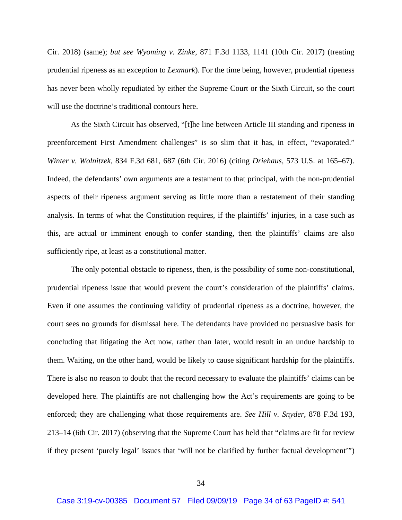Cir. 2018) (same); *but see Wyoming v. Zinke*, 871 F.3d 1133, 1141 (10th Cir. 2017) (treating prudential ripeness as an exception to *Lexmark*). For the time being, however, prudential ripeness has never been wholly repudiated by either the Supreme Court or the Sixth Circuit, so the court will use the doctrine's traditional contours here.

As the Sixth Circuit has observed, "[t]he line between Article III standing and ripeness in preenforcement First Amendment challenges" is so slim that it has, in effect, "evaporated." *Winter v. Wolnitzek*, 834 F.3d 681, 687 (6th Cir. 2016) (citing *Driehaus*, 573 U.S. at 165–67). Indeed, the defendants' own arguments are a testament to that principal, with the non-prudential aspects of their ripeness argument serving as little more than a restatement of their standing analysis. In terms of what the Constitution requires, if the plaintiffs' injuries, in a case such as this, are actual or imminent enough to confer standing, then the plaintiffs' claims are also sufficiently ripe, at least as a constitutional matter.

The only potential obstacle to ripeness, then, is the possibility of some non-constitutional, prudential ripeness issue that would prevent the court's consideration of the plaintiffs' claims. Even if one assumes the continuing validity of prudential ripeness as a doctrine, however, the court sees no grounds for dismissal here. The defendants have provided no persuasive basis for concluding that litigating the Act now, rather than later, would result in an undue hardship to them. Waiting, on the other hand, would be likely to cause significant hardship for the plaintiffs. There is also no reason to doubt that the record necessary to evaluate the plaintiffs' claims can be developed here. The plaintiffs are not challenging how the Act's requirements are going to be enforced; they are challenging what those requirements are. *See Hill v. Snyder*, 878 F.3d 193, 213–14 (6th Cir. 2017) (observing that the Supreme Court has held that "claims are fit for review if they present 'purely legal' issues that 'will not be clarified by further factual development'")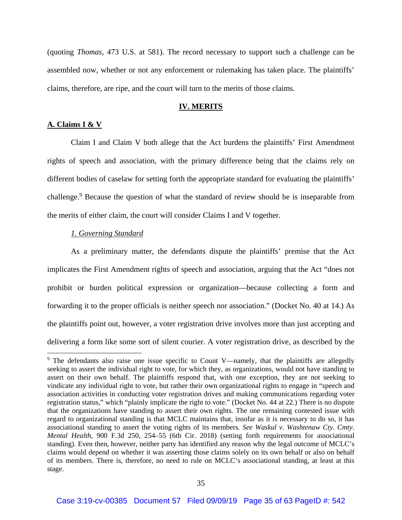(quoting *Thomas*, 473 U.S. at 581). The record necessary to support such a challenge can be assembled now, whether or not any enforcement or rulemaking has taken place. The plaintiffs' claims, therefore, are ripe, and the court will turn to the merits of those claims.

## **IV. MERITS**

# **A. Claims I & V**

 Claim I and Claim V both allege that the Act burdens the plaintiffs' First Amendment rights of speech and association, with the primary difference being that the claims rely on different bodies of caselaw for setting forth the appropriate standard for evaluating the plaintiffs' challenge.<sup>9</sup> Because the question of what the standard of review should be is inseparable from the merits of either claim, the court will consider Claims I and V together.

## *1. Governing Standard*

As a preliminary matter, the defendants dispute the plaintiffs' premise that the Act implicates the First Amendment rights of speech and association, arguing that the Act "does not prohibit or burden political expression or organization—because collecting a form and forwarding it to the proper officials is neither speech nor association." (Docket No. 40 at 14.) As the plaintiffs point out, however, a voter registration drive involves more than just accepting and delivering a form like some sort of silent courier. A voter registration drive, as described by the

<sup>&</sup>lt;sup>9</sup> The defendants also raise one issue specific to Count V—namely, that the plaintiffs are allegedly seeking to assert the individual right to vote, for which they, as organizations, would not have standing to assert on their own behalf. The plaintiffs respond that, with one exception, they are not seeking to vindicate any individual right to vote, but rather their own organizational rights to engage in "speech and association activities in conducting voter registration drives and making communications regarding voter registration status," which "plainly implicate the right to vote." (Docket No. 44 at 22.) There is no dispute that the organizations have standing to assert their own rights. The one remaining contested issue with regard to organizational standing is that MCLC maintains that, insofar as it is necessary to do so, it has associational standing to assert the voting rights of its members*. See Waskul v. Washtenaw Cty. Cmty. Mental Health*, 900 F.3d 250, 254–55 (6th Cir. 2018) (setting forth requirements for associational standing). Even then, however, neither party has identified any reason why the legal outcome of MCLC's claims would depend on whether it was asserting those claims solely on its own behalf or also on behalf of its members. There is, therefore, no need to rule on MCLC's associational standing, at least at this stage.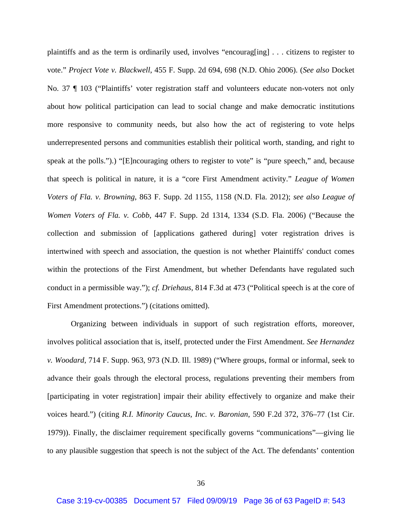plaintiffs and as the term is ordinarily used, involves "encourag[ing] . . . citizens to register to vote." *Project Vote v. Blackwell*, 455 F. Supp. 2d 694, 698 (N.D. Ohio 2006). (*See also* Docket No. 37 ¶ 103 ("Plaintiffs' voter registration staff and volunteers educate non-voters not only about how political participation can lead to social change and make democratic institutions more responsive to community needs, but also how the act of registering to vote helps underrepresented persons and communities establish their political worth, standing, and right to speak at the polls.").) "[E]ncouraging others to register to vote" is "pure speech," and, because that speech is political in nature, it is a "core First Amendment activity." *League of Women Voters of Fla. v. Browning*, 863 F. Supp. 2d 1155, 1158 (N.D. Fla. 2012); *see also League of Women Voters of Fla. v. Cobb*, 447 F. Supp. 2d 1314, 1334 (S.D. Fla. 2006) ("Because the collection and submission of [applications gathered during] voter registration drives is intertwined with speech and association, the question is not whether Plaintiffs' conduct comes within the protections of the First Amendment, but whether Defendants have regulated such conduct in a permissible way."); *cf. Driehaus*, 814 F.3d at 473 ("Political speech is at the core of First Amendment protections.") (citations omitted).

Organizing between individuals in support of such registration efforts, moreover, involves political association that is, itself, protected under the First Amendment. *See Hernandez v. Woodard*, 714 F. Supp. 963, 973 (N.D. Ill. 1989) ("Where groups, formal or informal, seek to advance their goals through the electoral process, regulations preventing their members from [participating in voter registration] impair their ability effectively to organize and make their voices heard.") (citing *R.I. Minority Caucus, Inc. v. Baronian*, 590 F.2d 372, 376–77 (1st Cir. 1979)). Finally, the disclaimer requirement specifically governs "communications"—giving lie to any plausible suggestion that speech is not the subject of the Act. The defendants' contention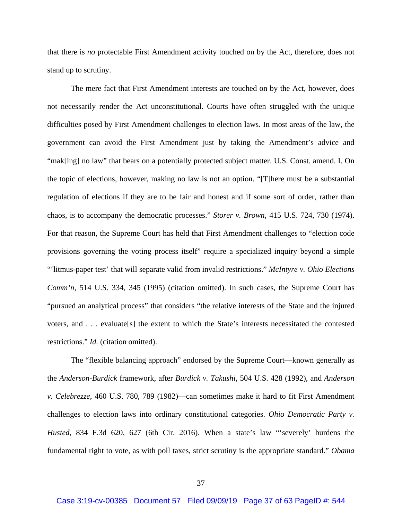that there is *no* protectable First Amendment activity touched on by the Act, therefore, does not stand up to scrutiny.

The mere fact that First Amendment interests are touched on by the Act, however, does not necessarily render the Act unconstitutional. Courts have often struggled with the unique difficulties posed by First Amendment challenges to election laws. In most areas of the law, the government can avoid the First Amendment just by taking the Amendment's advice and "mak[ing] no law" that bears on a potentially protected subject matter. U.S. Const. amend. I. On the topic of elections, however, making no law is not an option. "[T]here must be a substantial regulation of elections if they are to be fair and honest and if some sort of order, rather than chaos, is to accompany the democratic processes." *Storer v. Brown*, 415 U.S. 724, 730 (1974). For that reason, the Supreme Court has held that First Amendment challenges to "election code provisions governing the voting process itself" require a specialized inquiry beyond a simple "'litmus-paper test' that will separate valid from invalid restrictions." *McIntyre v. Ohio Elections Comm'n*, 514 U.S. 334, 345 (1995) (citation omitted). In such cases, the Supreme Court has "pursued an analytical process" that considers "the relative interests of the State and the injured voters, and . . . evaluate[s] the extent to which the State's interests necessitated the contested restrictions." *Id.* (citation omitted).

The "flexible balancing approach" endorsed by the Supreme Court—known generally as the *Anderson*-*Burdick* framework, after *Burdick v. Takushi*, 504 U.S. 428 (1992), and *Anderson v. Celebrezze*, 460 U.S. 780, 789 (1982)—can sometimes make it hard to fit First Amendment challenges to election laws into ordinary constitutional categories. *Ohio Democratic Party v. Husted*, 834 F.3d 620, 627 (6th Cir. 2016). When a state's law "'severely' burdens the fundamental right to vote, as with poll taxes, strict scrutiny is the appropriate standard." *Obama*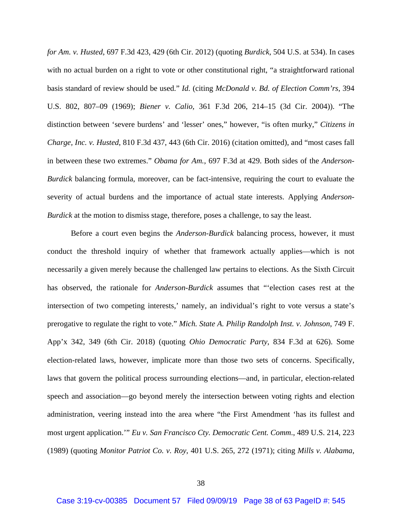*for Am. v. Husted*, 697 F.3d 423, 429 (6th Cir. 2012) (quoting *Burdick*, 504 U.S. at 534). In cases with no actual burden on a right to vote or other constitutional right, "a straightforward rational basis standard of review should be used." *Id.* (citing *McDonald v. Bd. of Election Comm'rs*, 394 U.S. 802, 807–09 (1969); *Biener v. Calio*, 361 F.3d 206, 214–15 (3d Cir. 2004)). "The distinction between 'severe burdens' and 'lesser' ones," however, "is often murky," *Citizens in Charge, Inc. v. Husted*, 810 F.3d 437, 443 (6th Cir. 2016) (citation omitted), and "most cases fall in between these two extremes." *Obama for Am.*, 697 F.3d at 429. Both sides of the *Anderson*-*Burdick* balancing formula, moreover, can be fact-intensive, requiring the court to evaluate the severity of actual burdens and the importance of actual state interests. Applying *Anderson*-*Burdick* at the motion to dismiss stage, therefore, poses a challenge, to say the least.

Before a court even begins the *Anderson*-*Burdick* balancing process, however, it must conduct the threshold inquiry of whether that framework actually applies—which is not necessarily a given merely because the challenged law pertains to elections. As the Sixth Circuit has observed, the rationale for *Anderson*-*Burdick* assumes that "'election cases rest at the intersection of two competing interests,' namely, an individual's right to vote versus a state's prerogative to regulate the right to vote." *Mich. State A. Philip Randolph Inst. v. Johnson*, 749 F. App'x 342, 349 (6th Cir. 2018) (quoting *Ohio Democratic Party*, 834 F.3d at 626). Some election-related laws, however, implicate more than those two sets of concerns. Specifically, laws that govern the political process surrounding elections—and, in particular, election-related speech and association—go beyond merely the intersection between voting rights and election administration, veering instead into the area where "the First Amendment 'has its fullest and most urgent application.'" *Eu v. San Francisco Cty. Democratic Cent. Comm*., 489 U.S. 214, 223 (1989) (quoting *Monitor Patriot Co. v. Roy*, 401 U.S. 265, 272 (1971); citing *Mills v. Alabama*,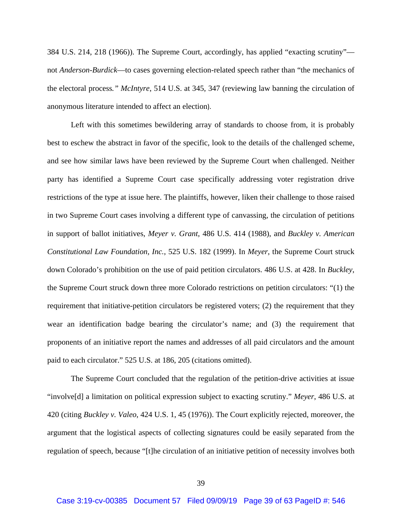384 U.S. 214, 218 (1966)). The Supreme Court, accordingly, has applied "exacting scrutiny" not *Anderson*-*Burdick*—to cases governing election-related speech rather than "the mechanics of the electoral process*." McIntyre*, 514 U.S. at 345, 347 (reviewing law banning the circulation of anonymous literature intended to affect an election).

Left with this sometimes bewildering array of standards to choose from, it is probably best to eschew the abstract in favor of the specific, look to the details of the challenged scheme, and see how similar laws have been reviewed by the Supreme Court when challenged. Neither party has identified a Supreme Court case specifically addressing voter registration drive restrictions of the type at issue here. The plaintiffs, however, liken their challenge to those raised in two Supreme Court cases involving a different type of canvassing, the circulation of petitions in support of ballot initiatives, *Meyer v. Grant*, 486 U.S. 414 (1988), and *Buckley v. American Constitutional Law Foundation, Inc.*, 525 U.S. 182 (1999). In *Meyer*, the Supreme Court struck down Colorado's prohibition on the use of paid petition circulators. 486 U.S. at 428. In *Buckley*, the Supreme Court struck down three more Colorado restrictions on petition circulators: "(1) the requirement that initiative-petition circulators be registered voters; (2) the requirement that they wear an identification badge bearing the circulator's name; and (3) the requirement that proponents of an initiative report the names and addresses of all paid circulators and the amount paid to each circulator." 525 U.S. at 186, 205 (citations omitted).

The Supreme Court concluded that the regulation of the petition-drive activities at issue "involve[d] a limitation on political expression subject to exacting scrutiny." *Meyer*, 486 U.S. at 420 (citing *Buckley v. Valeo*, 424 U.S. 1, 45 (1976)). The Court explicitly rejected, moreover, the argument that the logistical aspects of collecting signatures could be easily separated from the regulation of speech, because "[t]he circulation of an initiative petition of necessity involves both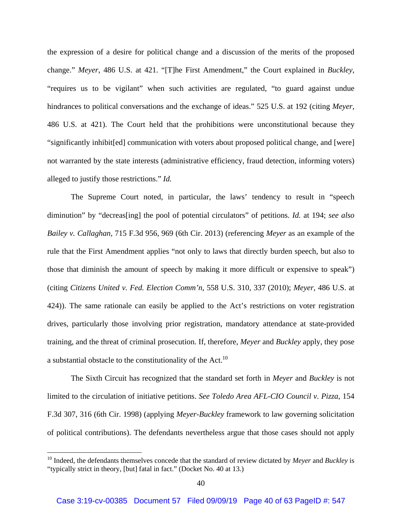the expression of a desire for political change and a discussion of the merits of the proposed change." *Meyer*, 486 U.S. at 421. "[T]he First Amendment," the Court explained in *Buckley*, "requires us to be vigilant" when such activities are regulated, "to guard against undue hindrances to political conversations and the exchange of ideas." 525 U.S. at 192 (citing *Meyer*, 486 U.S. at 421). The Court held that the prohibitions were unconstitutional because they "significantly inhibit[ed] communication with voters about proposed political change, and [were] not warranted by the state interests (administrative efficiency, fraud detection, informing voters) alleged to justify those restrictions." *Id.*

The Supreme Court noted, in particular, the laws' tendency to result in "speech diminution" by "decreas[ing] the pool of potential circulators" of petitions. *Id.* at 194; *see also Bailey v. Callaghan*, 715 F.3d 956, 969 (6th Cir. 2013) (referencing *Meyer* as an example of the rule that the First Amendment applies "not only to laws that directly burden speech, but also to those that diminish the amount of speech by making it more difficult or expensive to speak") (citing *Citizens United v. Fed. Election Comm'n*, 558 U.S. 310, 337 (2010); *Meyer*, 486 U.S. at 424)). The same rationale can easily be applied to the Act's restrictions on voter registration drives, particularly those involving prior registration, mandatory attendance at state-provided training, and the threat of criminal prosecution. If, therefore, *Meyer* and *Buckley* apply, they pose a substantial obstacle to the constitutionality of the Act.<sup>10</sup>

The Sixth Circuit has recognized that the standard set forth in *Meyer* and *Buckley* is not limited to the circulation of initiative petitions. *See Toledo Area AFL-CIO Council v. Pizza*, 154 F.3d 307, 316 (6th Cir. 1998) (applying *Meyer-Buckley* framework to law governing solicitation of political contributions). The defendants nevertheless argue that those cases should not apply

<sup>10</sup> Indeed, the defendants themselves concede that the standard of review dictated by *Meyer* and *Buckley* is "typically strict in theory, [but] fatal in fact." (Docket No. 40 at 13.)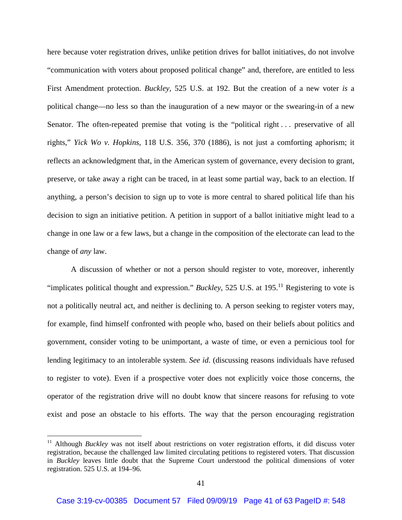here because voter registration drives, unlike petition drives for ballot initiatives, do not involve "communication with voters about proposed political change" and, therefore, are entitled to less First Amendment protection. *Buckley*, 525 U.S. at 192. But the creation of a new voter *is* a political change—no less so than the inauguration of a new mayor or the swearing-in of a new Senator. The often-repeated premise that voting is the "political right ... preservative of all rights," *Yick Wo v. Hopkins*, 118 U.S. 356, 370 (1886), is not just a comforting aphorism; it reflects an acknowledgment that, in the American system of governance, every decision to grant, preserve, or take away a right can be traced, in at least some partial way, back to an election. If anything, a person's decision to sign up to vote is more central to shared political life than his decision to sign an initiative petition. A petition in support of a ballot initiative might lead to a change in one law or a few laws, but a change in the composition of the electorate can lead to the change of *any* law.

A discussion of whether or not a person should register to vote, moreover, inherently "implicates political thought and expression." *Buckley*, 525 U.S. at 195.<sup>11</sup> Registering to vote is not a politically neutral act, and neither is declining to. A person seeking to register voters may, for example, find himself confronted with people who, based on their beliefs about politics and government, consider voting to be unimportant, a waste of time, or even a pernicious tool for lending legitimacy to an intolerable system. *See id.* (discussing reasons individuals have refused to register to vote). Even if a prospective voter does not explicitly voice those concerns, the operator of the registration drive will no doubt know that sincere reasons for refusing to vote exist and pose an obstacle to his efforts. The way that the person encouraging registration

<sup>&</sup>lt;sup>11</sup> Although *Buckley* was not itself about restrictions on voter registration efforts, it did discuss voter registration, because the challenged law limited circulating petitions to registered voters. That discussion in *Buckley* leaves little doubt that the Supreme Court understood the political dimensions of voter registration. 525 U.S. at 194–96.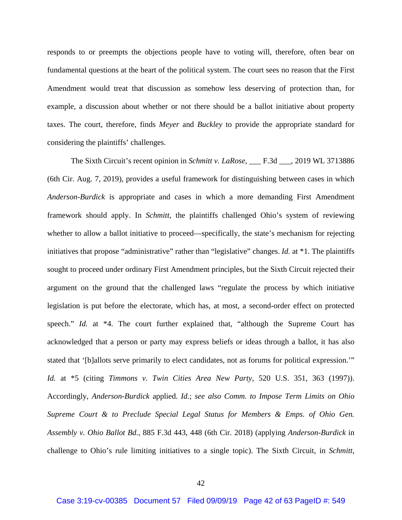responds to or preempts the objections people have to voting will, therefore, often bear on fundamental questions at the heart of the political system. The court sees no reason that the First Amendment would treat that discussion as somehow less deserving of protection than, for example, a discussion about whether or not there should be a ballot initiative about property taxes. The court, therefore, finds *Meyer* and *Buckley* to provide the appropriate standard for considering the plaintiffs' challenges.

The Sixth Circuit's recent opinion in *Schmitt v. LaRose*, \_\_\_ F.3d \_\_\_, 2019 WL 3713886 (6th Cir. Aug. 7, 2019), provides a useful framework for distinguishing between cases in which *Anderson*-*Burdick* is appropriate and cases in which a more demanding First Amendment framework should apply. In *Schmitt*, the plaintiffs challenged Ohio's system of reviewing whether to allow a ballot initiative to proceed—specifically, the state's mechanism for rejecting initiatives that propose "administrative" rather than "legislative" changes. *Id.* at \*1. The plaintiffs sought to proceed under ordinary First Amendment principles, but the Sixth Circuit rejected their argument on the ground that the challenged laws "regulate the process by which initiative legislation is put before the electorate, which has, at most, a second-order effect on protected speech." *Id.* at \*4. The court further explained that, "although the Supreme Court has acknowledged that a person or party may express beliefs or ideas through a ballot, it has also stated that '[b]allots serve primarily to elect candidates, not as forums for political expression.'" *Id.* at \*5 (citing *Timmons v. Twin Cities Area New Party*, 520 U.S. 351, 363 (1997)). Accordingly, *Anderson*-*Burdick* applied. *Id.*; *see also Comm. to Impose Term Limits on Ohio Supreme Court & to Preclude Special Legal Status for Members & Emps. of Ohio Gen. Assembly v. Ohio Ballot Bd.*, 885 F.3d 443, 448 (6th Cir. 2018) (applying *Anderson*-*Burdick* in challenge to Ohio's rule limiting initiatives to a single topic). The Sixth Circuit, in *Schmitt*,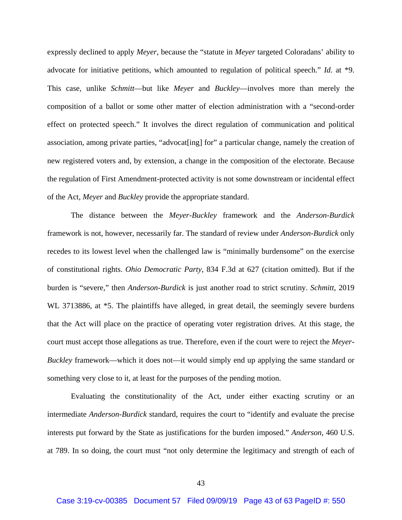expressly declined to apply *Meyer*, because the "statute in *Meyer* targeted Coloradans' ability to advocate for initiative petitions, which amounted to regulation of political speech." *Id.* at \*9. This case, unlike *Schmitt*—but like *Meyer* and *Buckley*—involves more than merely the composition of a ballot or some other matter of election administration with a "second-order effect on protected speech." It involves the direct regulation of communication and political association, among private parties, "advocat[ing] for" a particular change, namely the creation of new registered voters and, by extension, a change in the composition of the electorate. Because the regulation of First Amendment-protected activity is not some downstream or incidental effect of the Act, *Meyer* and *Buckley* provide the appropriate standard.

The distance between the *Meyer*-*Buckley* framework and the *Anderson*-*Burdick* framework is not, however, necessarily far. The standard of review under *Anderson*-*Burdick* only recedes to its lowest level when the challenged law is "minimally burdensome" on the exercise of constitutional rights. *Ohio Democratic Party*, 834 F.3d at 627 (citation omitted). But if the burden is "severe," then *Anderson*-*Burdick* is just another road to strict scrutiny. *Schmitt*, 2019 WL 3713886, at  $*5$ . The plaintiffs have alleged, in great detail, the seemingly severe burdens that the Act will place on the practice of operating voter registration drives. At this stage, the court must accept those allegations as true. Therefore, even if the court were to reject the *Meyer-Buckley* framework—which it does not—it would simply end up applying the same standard or something very close to it, at least for the purposes of the pending motion.

Evaluating the constitutionality of the Act, under either exacting scrutiny or an intermediate *Anderson*-*Burdick* standard, requires the court to "identify and evaluate the precise interests put forward by the State as justifications for the burden imposed." *Anderson*, 460 U.S. at 789. In so doing, the court must "not only determine the legitimacy and strength of each of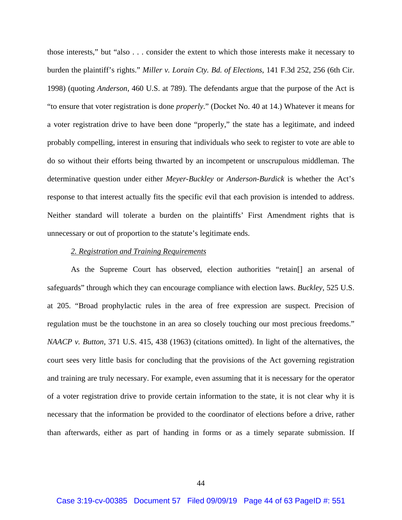those interests," but "also . . . consider the extent to which those interests make it necessary to burden the plaintiff's rights." *Miller v. Lorain Cty. Bd. of Elections*, 141 F.3d 252, 256 (6th Cir. 1998) (quoting *Anderson*, 460 U.S. at 789). The defendants argue that the purpose of the Act is "to ensure that voter registration is done *properly*." (Docket No. 40 at 14.) Whatever it means for a voter registration drive to have been done "properly," the state has a legitimate, and indeed probably compelling, interest in ensuring that individuals who seek to register to vote are able to do so without their efforts being thwarted by an incompetent or unscrupulous middleman. The determinative question under either *Meyer*-*Buckley* or *Anderson*-*Burdick* is whether the Act's response to that interest actually fits the specific evil that each provision is intended to address. Neither standard will tolerate a burden on the plaintiffs' First Amendment rights that is unnecessary or out of proportion to the statute's legitimate ends.

#### *2. Registration and Training Requirements*

As the Supreme Court has observed, election authorities "retain[] an arsenal of safeguards" through which they can encourage compliance with election laws. *Buckley*, 525 U.S. at 205. "Broad prophylactic rules in the area of free expression are suspect. Precision of regulation must be the touchstone in an area so closely touching our most precious freedoms." *NAACP v. Button*, 371 U.S. 415, 438 (1963) (citations omitted). In light of the alternatives, the court sees very little basis for concluding that the provisions of the Act governing registration and training are truly necessary. For example, even assuming that it is necessary for the operator of a voter registration drive to provide certain information to the state, it is not clear why it is necessary that the information be provided to the coordinator of elections before a drive, rather than afterwards, either as part of handing in forms or as a timely separate submission. If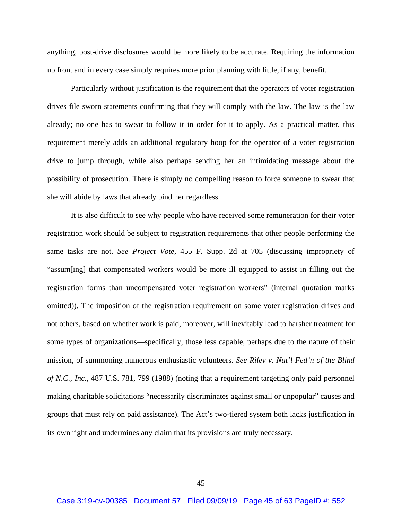anything, post-drive disclosures would be more likely to be accurate. Requiring the information up front and in every case simply requires more prior planning with little, if any, benefit.

Particularly without justification is the requirement that the operators of voter registration drives file sworn statements confirming that they will comply with the law. The law is the law already; no one has to swear to follow it in order for it to apply. As a practical matter, this requirement merely adds an additional regulatory hoop for the operator of a voter registration drive to jump through, while also perhaps sending her an intimidating message about the possibility of prosecution. There is simply no compelling reason to force someone to swear that she will abide by laws that already bind her regardless.

It is also difficult to see why people who have received some remuneration for their voter registration work should be subject to registration requirements that other people performing the same tasks are not. *See Project Vote*, 455 F. Supp. 2d at 705 (discussing impropriety of "assum[ing] that compensated workers would be more ill equipped to assist in filling out the registration forms than uncompensated voter registration workers" (internal quotation marks omitted)). The imposition of the registration requirement on some voter registration drives and not others, based on whether work is paid, moreover, will inevitably lead to harsher treatment for some types of organizations—specifically, those less capable, perhaps due to the nature of their mission, of summoning numerous enthusiastic volunteers. *See Riley v. Nat'l Fed'n of the Blind of N.C., Inc.*, 487 U.S. 781, 799 (1988) (noting that a requirement targeting only paid personnel making charitable solicitations "necessarily discriminates against small or unpopular" causes and groups that must rely on paid assistance). The Act's two-tiered system both lacks justification in its own right and undermines any claim that its provisions are truly necessary.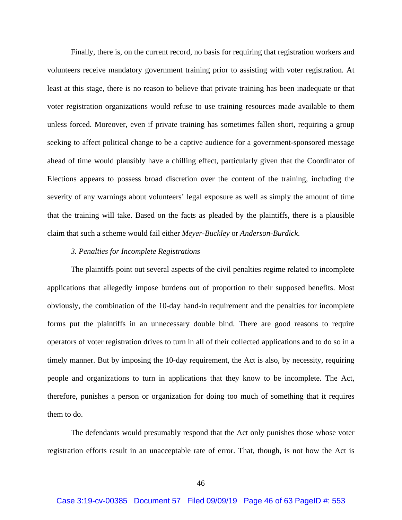Finally, there is, on the current record, no basis for requiring that registration workers and volunteers receive mandatory government training prior to assisting with voter registration. At least at this stage, there is no reason to believe that private training has been inadequate or that voter registration organizations would refuse to use training resources made available to them unless forced. Moreover, even if private training has sometimes fallen short, requiring a group seeking to affect political change to be a captive audience for a government-sponsored message ahead of time would plausibly have a chilling effect, particularly given that the Coordinator of Elections appears to possess broad discretion over the content of the training, including the severity of any warnings about volunteers' legal exposure as well as simply the amount of time that the training will take. Based on the facts as pleaded by the plaintiffs, there is a plausible claim that such a scheme would fail either *Meyer-Buckley* or *Anderson-Burdick*.

#### *3. Penalties for Incomplete Registrations*

The plaintiffs point out several aspects of the civil penalties regime related to incomplete applications that allegedly impose burdens out of proportion to their supposed benefits. Most obviously, the combination of the 10-day hand-in requirement and the penalties for incomplete forms put the plaintiffs in an unnecessary double bind. There are good reasons to require operators of voter registration drives to turn in all of their collected applications and to do so in a timely manner. But by imposing the 10-day requirement, the Act is also, by necessity, requiring people and organizations to turn in applications that they know to be incomplete. The Act, therefore, punishes a person or organization for doing too much of something that it requires them to do.

The defendants would presumably respond that the Act only punishes those whose voter registration efforts result in an unacceptable rate of error. That, though, is not how the Act is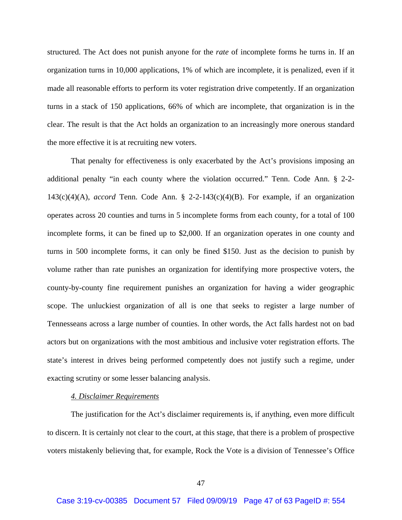structured. The Act does not punish anyone for the *rate* of incomplete forms he turns in. If an organization turns in 10,000 applications, 1% of which are incomplete, it is penalized, even if it made all reasonable efforts to perform its voter registration drive competently. If an organization turns in a stack of 150 applications, 66% of which are incomplete, that organization is in the clear. The result is that the Act holds an organization to an increasingly more onerous standard the more effective it is at recruiting new voters.

That penalty for effectiveness is only exacerbated by the Act's provisions imposing an additional penalty "in each county where the violation occurred." Tenn. Code Ann. § 2-2- 143(c)(4)(A), *accord* Tenn. Code Ann. § 2-2-143(c)(4)(B). For example, if an organization operates across 20 counties and turns in 5 incomplete forms from each county, for a total of 100 incomplete forms, it can be fined up to \$2,000. If an organization operates in one county and turns in 500 incomplete forms, it can only be fined \$150. Just as the decision to punish by volume rather than rate punishes an organization for identifying more prospective voters, the county-by-county fine requirement punishes an organization for having a wider geographic scope. The unluckiest organization of all is one that seeks to register a large number of Tennesseans across a large number of counties. In other words, the Act falls hardest not on bad actors but on organizations with the most ambitious and inclusive voter registration efforts. The state's interest in drives being performed competently does not justify such a regime, under exacting scrutiny or some lesser balancing analysis.

## *4. Disclaimer Requirements*

The justification for the Act's disclaimer requirements is, if anything, even more difficult to discern. It is certainly not clear to the court, at this stage, that there is a problem of prospective voters mistakenly believing that, for example, Rock the Vote is a division of Tennessee's Office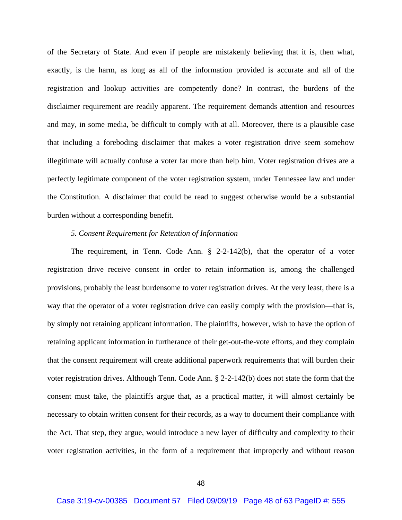of the Secretary of State. And even if people are mistakenly believing that it is, then what, exactly, is the harm, as long as all of the information provided is accurate and all of the registration and lookup activities are competently done? In contrast, the burdens of the disclaimer requirement are readily apparent. The requirement demands attention and resources and may, in some media, be difficult to comply with at all. Moreover, there is a plausible case that including a foreboding disclaimer that makes a voter registration drive seem somehow illegitimate will actually confuse a voter far more than help him. Voter registration drives are a perfectly legitimate component of the voter registration system, under Tennessee law and under the Constitution. A disclaimer that could be read to suggest otherwise would be a substantial burden without a corresponding benefit.

## *5. Consent Requirement for Retention of Information*

The requirement, in Tenn. Code Ann. § 2-2-142(b), that the operator of a voter registration drive receive consent in order to retain information is, among the challenged provisions, probably the least burdensome to voter registration drives. At the very least, there is a way that the operator of a voter registration drive can easily comply with the provision—that is, by simply not retaining applicant information. The plaintiffs, however, wish to have the option of retaining applicant information in furtherance of their get-out-the-vote efforts, and they complain that the consent requirement will create additional paperwork requirements that will burden their voter registration drives. Although Tenn. Code Ann. § 2-2-142(b) does not state the form that the consent must take, the plaintiffs argue that, as a practical matter, it will almost certainly be necessary to obtain written consent for their records, as a way to document their compliance with the Act. That step, they argue, would introduce a new layer of difficulty and complexity to their voter registration activities, in the form of a requirement that improperly and without reason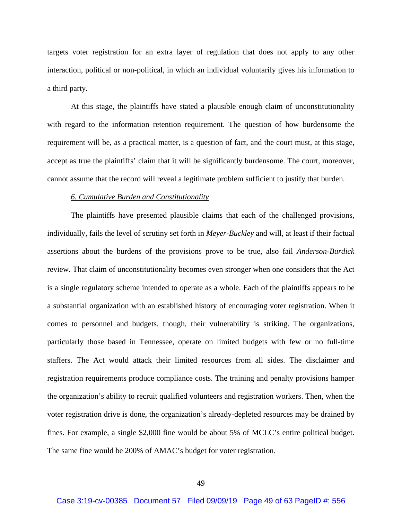targets voter registration for an extra layer of regulation that does not apply to any other interaction, political or non-political, in which an individual voluntarily gives his information to a third party.

At this stage, the plaintiffs have stated a plausible enough claim of unconstitutionality with regard to the information retention requirement. The question of how burdensome the requirement will be, as a practical matter, is a question of fact, and the court must, at this stage, accept as true the plaintiffs' claim that it will be significantly burdensome. The court, moreover, cannot assume that the record will reveal a legitimate problem sufficient to justify that burden.

#### *6. Cumulative Burden and Constitutionality*

The plaintiffs have presented plausible claims that each of the challenged provisions, individually, fails the level of scrutiny set forth in *Meyer*-*Buckley* and will, at least if their factual assertions about the burdens of the provisions prove to be true, also fail *Anderson*-*Burdick* review. That claim of unconstitutionality becomes even stronger when one considers that the Act is a single regulatory scheme intended to operate as a whole. Each of the plaintiffs appears to be a substantial organization with an established history of encouraging voter registration. When it comes to personnel and budgets, though, their vulnerability is striking. The organizations, particularly those based in Tennessee, operate on limited budgets with few or no full-time staffers. The Act would attack their limited resources from all sides. The disclaimer and registration requirements produce compliance costs. The training and penalty provisions hamper the organization's ability to recruit qualified volunteers and registration workers. Then, when the voter registration drive is done, the organization's already-depleted resources may be drained by fines. For example, a single \$2,000 fine would be about 5% of MCLC's entire political budget. The same fine would be 200% of AMAC's budget for voter registration.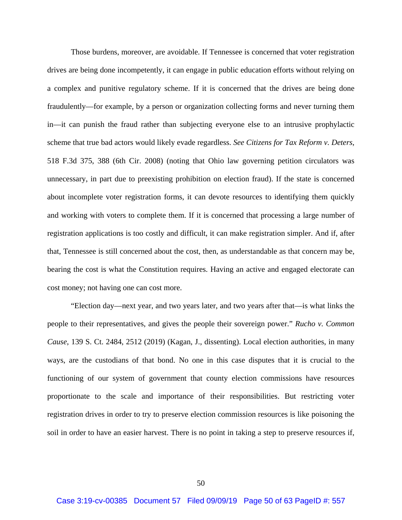Those burdens, moreover, are avoidable. If Tennessee is concerned that voter registration drives are being done incompetently, it can engage in public education efforts without relying on a complex and punitive regulatory scheme. If it is concerned that the drives are being done fraudulently—for example, by a person or organization collecting forms and never turning them in—it can punish the fraud rather than subjecting everyone else to an intrusive prophylactic scheme that true bad actors would likely evade regardless. *See Citizens for Tax Reform v. Deters*, 518 F.3d 375, 388 (6th Cir. 2008) (noting that Ohio law governing petition circulators was unnecessary, in part due to preexisting prohibition on election fraud). If the state is concerned about incomplete voter registration forms, it can devote resources to identifying them quickly and working with voters to complete them. If it is concerned that processing a large number of registration applications is too costly and difficult, it can make registration simpler. And if, after that, Tennessee is still concerned about the cost, then, as understandable as that concern may be, bearing the cost is what the Constitution requires. Having an active and engaged electorate can cost money; not having one can cost more.

"Election day—next year, and two years later, and two years after that—is what links the people to their representatives, and gives the people their sovereign power." *Rucho v. Common Cause*, 139 S. Ct. 2484, 2512 (2019) (Kagan, J., dissenting). Local election authorities, in many ways, are the custodians of that bond. No one in this case disputes that it is crucial to the functioning of our system of government that county election commissions have resources proportionate to the scale and importance of their responsibilities. But restricting voter registration drives in order to try to preserve election commission resources is like poisoning the soil in order to have an easier harvest. There is no point in taking a step to preserve resources if,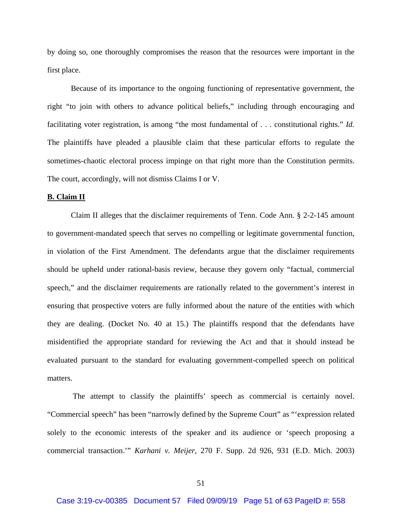by doing so, one thoroughly compromises the reason that the resources were important in the first place.

Because of its importance to the ongoing functioning of representative government, the right "to join with others to advance political beliefs," including through encouraging and facilitating voter registration, is among "the most fundamental of . . . constitutional rights." *Id.* The plaintiffs have pleaded a plausible claim that these particular efforts to regulate the sometimes-chaotic electoral process impinge on that right more than the Constitution permits. The court, accordingly, will not dismiss Claims I or V.

### **B. Claim II**

 Claim II alleges that the disclaimer requirements of Tenn. Code Ann. § 2-2-145 amount to government-mandated speech that serves no compelling or legitimate governmental function, in violation of the First Amendment. The defendants argue that the disclaimer requirements should be upheld under rational-basis review, because they govern only "factual, commercial speech," and the disclaimer requirements are rationally related to the government's interest in ensuring that prospective voters are fully informed about the nature of the entities with which they are dealing. (Docket No. 40 at 15.) The plaintiffs respond that the defendants have misidentified the appropriate standard for reviewing the Act and that it should instead be evaluated pursuant to the standard for evaluating government-compelled speech on political matters.

 The attempt to classify the plaintiffs' speech as commercial is certainly novel. "Commercial speech" has been "narrowly defined by the Supreme Court" as "'expression related solely to the economic interests of the speaker and its audience or 'speech proposing a commercial transaction.'" *Karhani v. Meijer*, 270 F. Supp. 2d 926, 931 (E.D. Mich. 2003)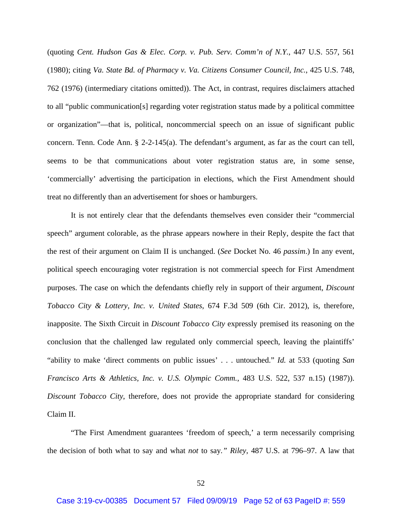(quoting *Cent. Hudson Gas & Elec. Corp. v. Pub. Serv. Comm'n of N.Y.*, 447 U.S. 557, 561 (1980); citing *Va. State Bd. of Pharmacy v. Va. Citizens Consumer Council, Inc.*, 425 U.S. 748, 762 (1976) (intermediary citations omitted)). The Act, in contrast, requires disclaimers attached to all "public communication[s] regarding voter registration status made by a political committee or organization"—that is, political, noncommercial speech on an issue of significant public concern. Tenn. Code Ann. § 2-2-145(a). The defendant's argument, as far as the court can tell, seems to be that communications about voter registration status are, in some sense, 'commercially' advertising the participation in elections, which the First Amendment should treat no differently than an advertisement for shoes or hamburgers.

It is not entirely clear that the defendants themselves even consider their "commercial speech" argument colorable, as the phrase appears nowhere in their Reply, despite the fact that the rest of their argument on Claim II is unchanged. (*See* Docket No. 46 *passim*.) In any event, political speech encouraging voter registration is not commercial speech for First Amendment purposes. The case on which the defendants chiefly rely in support of their argument, *Discount Tobacco City & Lottery, Inc. v. United States*, 674 F.3d 509 (6th Cir. 2012), is, therefore, inapposite. The Sixth Circuit in *Discount Tobacco City* expressly premised its reasoning on the conclusion that the challenged law regulated only commercial speech, leaving the plaintiffs' "ability to make 'direct comments on public issues' . . . untouched." *Id.* at 533 (quoting *San Francisco Arts & Athletics, Inc. v. U.S. Olympic Comm.*, 483 U.S. 522, 537 n.15) (1987)). *Discount Tobacco City*, therefore, does not provide the appropriate standard for considering Claim II.

 "The First Amendment guarantees 'freedom of speech,' a term necessarily comprising the decision of both what to say and what *not* to say*." Riley*, 487 U.S. at 796–97. A law that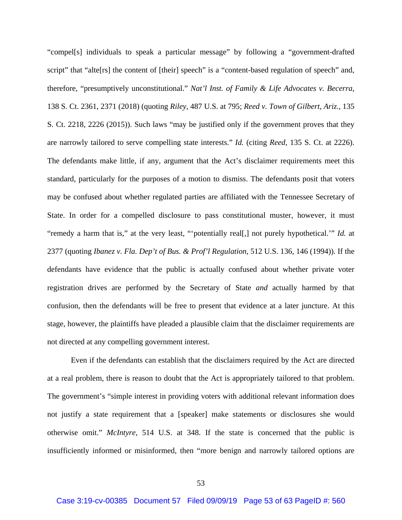"compel[s] individuals to speak a particular message" by following a "government-drafted script" that "alte<sup>[rs]</sup> the content of [their] speech" is a "content-based regulation of speech" and, therefore, "presumptively unconstitutional." *Nat'l Inst. of Family & Life Advocates v. Becerra*, 138 S. Ct. 2361, 2371 (2018) (quoting *Riley*, 487 U.S. at 795; *Reed v. Town of Gilbert, Ariz*., 135 S. Ct. 2218, 2226 (2015)). Such laws "may be justified only if the government proves that they are narrowly tailored to serve compelling state interests." *Id.* (citing *Reed*, 135 S. Ct. at 2226). The defendants make little, if any, argument that the Act's disclaimer requirements meet this standard, particularly for the purposes of a motion to dismiss. The defendants posit that voters may be confused about whether regulated parties are affiliated with the Tennessee Secretary of State. In order for a compelled disclosure to pass constitutional muster, however, it must "remedy a harm that is," at the very least, "'potentially real[,] not purely hypothetical.'" *Id.* at 2377 (quoting *Ibanez v. Fla. Dep't of Bus. & Prof'l Regulation*, 512 U.S. 136, 146 (1994)). If the defendants have evidence that the public is actually confused about whether private voter registration drives are performed by the Secretary of State *and* actually harmed by that confusion, then the defendants will be free to present that evidence at a later juncture. At this stage, however, the plaintiffs have pleaded a plausible claim that the disclaimer requirements are not directed at any compelling government interest.

 Even if the defendants can establish that the disclaimers required by the Act are directed at a real problem, there is reason to doubt that the Act is appropriately tailored to that problem. The government's "simple interest in providing voters with additional relevant information does not justify a state requirement that a [speaker] make statements or disclosures she would otherwise omit." *McIntyre*, 514 U.S. at 348. If the state is concerned that the public is insufficiently informed or misinformed, then "more benign and narrowly tailored options are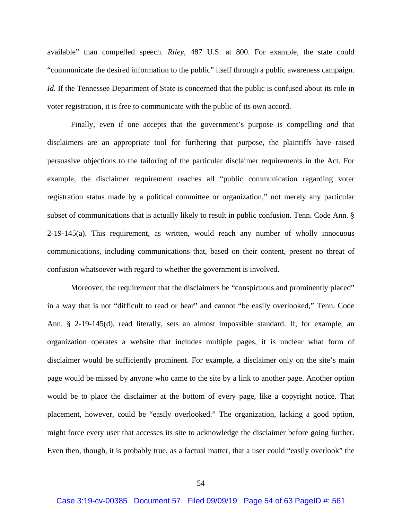available" than compelled speech. *Riley*, 487 U.S. at 800. For example, the state could "communicate the desired information to the public" itself through a public awareness campaign. *Id.* If the Tennessee Department of State is concerned that the public is confused about its role in voter registration, it is free to communicate with the public of its own accord.

Finally, even if one accepts that the government's purpose is compelling *and* that disclaimers are an appropriate tool for furthering that purpose, the plaintiffs have raised persuasive objections to the tailoring of the particular disclaimer requirements in the Act. For example, the disclaimer requirement reaches all "public communication regarding voter registration status made by a political committee or organization," not merely any particular subset of communications that is actually likely to result in public confusion. Tenn. Code Ann. § 2-19-145(a). This requirement, as written, would reach any number of wholly innocuous communications, including communications that, based on their content, present no threat of confusion whatsoever with regard to whether the government is involved.

Moreover, the requirement that the disclaimers be "conspicuous and prominently placed" in a way that is not "difficult to read or hear" and cannot "be easily overlooked," Tenn. Code Ann. § 2-19-145(d), read literally, sets an almost impossible standard. If, for example, an organization operates a website that includes multiple pages, it is unclear what form of disclaimer would be sufficiently prominent. For example, a disclaimer only on the site's main page would be missed by anyone who came to the site by a link to another page. Another option would be to place the disclaimer at the bottom of every page, like a copyright notice. That placement, however, could be "easily overlooked." The organization, lacking a good option, might force every user that accesses its site to acknowledge the disclaimer before going further. Even then, though, it is probably true, as a factual matter, that a user could "easily overlook" the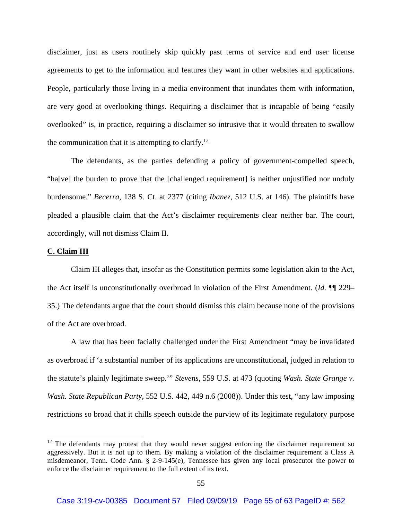disclaimer, just as users routinely skip quickly past terms of service and end user license agreements to get to the information and features they want in other websites and applications. People, particularly those living in a media environment that inundates them with information, are very good at overlooking things. Requiring a disclaimer that is incapable of being "easily overlooked" is, in practice, requiring a disclaimer so intrusive that it would threaten to swallow the communication that it is attempting to clarify.<sup>12</sup>

The defendants, as the parties defending a policy of government-compelled speech, "ha[ve] the burden to prove that the [challenged requirement] is neither unjustified nor unduly burdensome." *Becerra*, 138 S. Ct. at 2377 (citing *Ibanez*, 512 U.S. at 146). The plaintiffs have pleaded a plausible claim that the Act's disclaimer requirements clear neither bar. The court, accordingly, will not dismiss Claim II.

## **C. Claim III**

 Claim III alleges that, insofar as the Constitution permits some legislation akin to the Act, the Act itself is unconstitutionally overbroad in violation of the First Amendment. (*Id.* ¶¶ 229– 35.) The defendants argue that the court should dismiss this claim because none of the provisions of the Act are overbroad.

A law that has been facially challenged under the First Amendment "may be invalidated as overbroad if 'a substantial number of its applications are unconstitutional, judged in relation to the statute's plainly legitimate sweep.'" *Stevens*, 559 U.S. at 473 (quoting *Wash. State Grange v. Wash. State Republican Party*, 552 U.S. 442, 449 n.6 (2008)). Under this test, "any law imposing restrictions so broad that it chills speech outside the purview of its legitimate regulatory purpose

 $12$  The defendants may protest that they would never suggest enforcing the disclaimer requirement so aggressively. But it is not up to them. By making a violation of the disclaimer requirement a Class A misdemeanor, Tenn. Code Ann. § 2-9-145(e), Tennessee has given any local prosecutor the power to enforce the disclaimer requirement to the full extent of its text.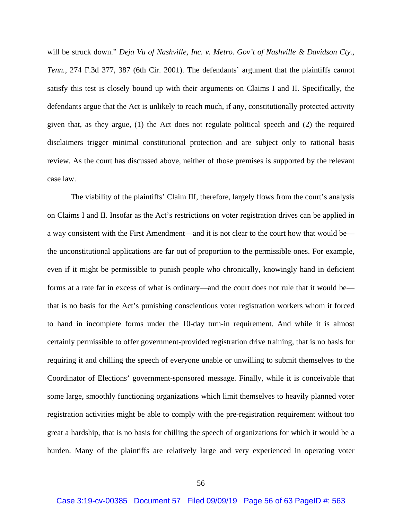will be struck down." *Deja Vu of Nashville, Inc. v. Metro. Gov't of Nashville & Davidson Cty., Tenn.*, 274 F.3d 377, 387 (6th Cir. 2001). The defendants' argument that the plaintiffs cannot satisfy this test is closely bound up with their arguments on Claims I and II. Specifically, the defendants argue that the Act is unlikely to reach much, if any, constitutionally protected activity given that, as they argue, (1) the Act does not regulate political speech and (2) the required disclaimers trigger minimal constitutional protection and are subject only to rational basis review. As the court has discussed above, neither of those premises is supported by the relevant case law.

 The viability of the plaintiffs' Claim III, therefore, largely flows from the court's analysis on Claims I and II. Insofar as the Act's restrictions on voter registration drives can be applied in a way consistent with the First Amendment—and it is not clear to the court how that would be the unconstitutional applications are far out of proportion to the permissible ones. For example, even if it might be permissible to punish people who chronically, knowingly hand in deficient forms at a rate far in excess of what is ordinary—and the court does not rule that it would be that is no basis for the Act's punishing conscientious voter registration workers whom it forced to hand in incomplete forms under the 10-day turn-in requirement. And while it is almost certainly permissible to offer government-provided registration drive training, that is no basis for requiring it and chilling the speech of everyone unable or unwilling to submit themselves to the Coordinator of Elections' government-sponsored message. Finally, while it is conceivable that some large, smoothly functioning organizations which limit themselves to heavily planned voter registration activities might be able to comply with the pre-registration requirement without too great a hardship, that is no basis for chilling the speech of organizations for which it would be a burden. Many of the plaintiffs are relatively large and very experienced in operating voter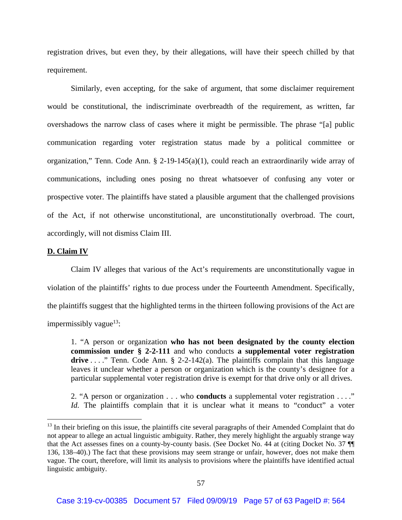registration drives, but even they, by their allegations, will have their speech chilled by that requirement.

Similarly, even accepting, for the sake of argument, that some disclaimer requirement would be constitutional, the indiscriminate overbreadth of the requirement, as written, far overshadows the narrow class of cases where it might be permissible. The phrase "[a] public communication regarding voter registration status made by a political committee or organization," Tenn. Code Ann. § 2-19-145(a)(1), could reach an extraordinarily wide array of communications, including ones posing no threat whatsoever of confusing any voter or prospective voter. The plaintiffs have stated a plausible argument that the challenged provisions of the Act, if not otherwise unconstitutional, are unconstitutionally overbroad. The court, accordingly, will not dismiss Claim III.

## **D. Claim IV**

Claim IV alleges that various of the Act's requirements are unconstitutionally vague in violation of the plaintiffs' rights to due process under the Fourteenth Amendment. Specifically, the plaintiffs suggest that the highlighted terms in the thirteen following provisions of the Act are impermissibly vague $13$ :

1. "A person or organization **who has not been designated by the county election commission under § 2-2-111** and who conducts **a supplemental voter registration**  drive . . . . " Tenn. Code Ann. § 2-2-142(a). The plaintiffs complain that this language leaves it unclear whether a person or organization which is the county's designee for a particular supplemental voter registration drive is exempt for that drive only or all drives.

2. "A person or organization . . . who **conducts** a supplemental voter registration . . . ." *Id.* The plaintiffs complain that it is unclear what it means to "conduct" a voter

<sup>&</sup>lt;sup>13</sup> In their briefing on this issue, the plaintiffs cite several paragraphs of their Amended Complaint that do not appear to allege an actual linguistic ambiguity. Rather, they merely highlight the arguably strange way that the Act assesses fines on a county-by-county basis. (See Docket No. 44 at (citing Docket No. 37 ¶¶ 136, 138–40).) The fact that these provisions may seem strange or unfair, however, does not make them vague. The court, therefore, will limit its analysis to provisions where the plaintiffs have identified actual linguistic ambiguity.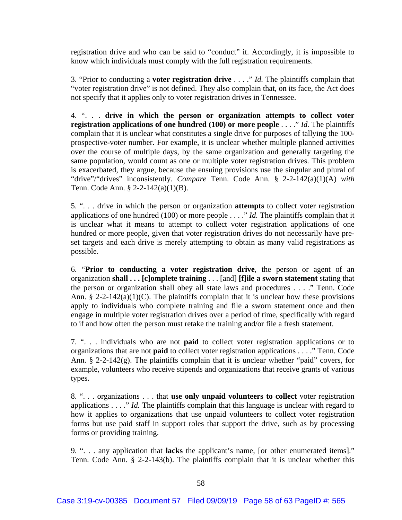registration drive and who can be said to "conduct" it. Accordingly, it is impossible to know which individuals must comply with the full registration requirements.

3. "Prior to conducting a **voter registration drive** . . . ." *Id.* The plaintiffs complain that "voter registration drive" is not defined. They also complain that, on its face, the Act does not specify that it applies only to voter registration drives in Tennessee.

4. ". . . **drive in which the person or organization attempts to collect voter registration applications of one hundred (100) or more people** . . . ." *Id.* The plaintiffs complain that it is unclear what constitutes a single drive for purposes of tallying the 100 prospective-voter number. For example, it is unclear whether multiple planned activities over the course of multiple days, by the same organization and generally targeting the same population, would count as one or multiple voter registration drives. This problem is exacerbated, they argue, because the ensuing provisions use the singular and plural of "drive"/"drives" inconsistently. *Compare* Tenn. Code Ann. § 2-2-142(a)(1)(A) *with* Tenn. Code Ann. § 2-2-142(a)(1)(B).

5. ". . . drive in which the person or organization **attempts** to collect voter registration applications of one hundred (100) or more people . . . ." *Id.* The plaintiffs complain that it is unclear what it means to attempt to collect voter registration applications of one hundred or more people, given that voter registration drives do not necessarily have preset targets and each drive is merely attempting to obtain as many valid registrations as possible.

6. "**Prior to conducting a voter registration drive**, the person or agent of an organization **shall . . . [c]omplete training** . . . [and] **[f]ile a sworn statement** stating that the person or organization shall obey all state laws and procedures . . . ." Tenn. Code Ann. § 2-2-142(a)(1)(C). The plaintiffs complain that it is unclear how these provisions apply to individuals who complete training and file a sworn statement once and then engage in multiple voter registration drives over a period of time, specifically with regard to if and how often the person must retake the training and/or file a fresh statement.

7. ". . . individuals who are not **paid** to collect voter registration applications or to organizations that are not **paid** to collect voter registration applications . . . ." Tenn. Code Ann.  $\S$  2-2-142(g). The plaintiffs complain that it is unclear whether "paid" covers, for example, volunteers who receive stipends and organizations that receive grants of various types.

8. ". . . organizations . . . that **use only unpaid volunteers to collect** voter registration applications . . . ." *Id.* The plaintiffs complain that this language is unclear with regard to how it applies to organizations that use unpaid volunteers to collect voter registration forms but use paid staff in support roles that support the drive, such as by processing forms or providing training.

9. ". . . any application that **lacks** the applicant's name, [or other enumerated items]." Tenn. Code Ann. § 2-2-143(b). The plaintiffs complain that it is unclear whether this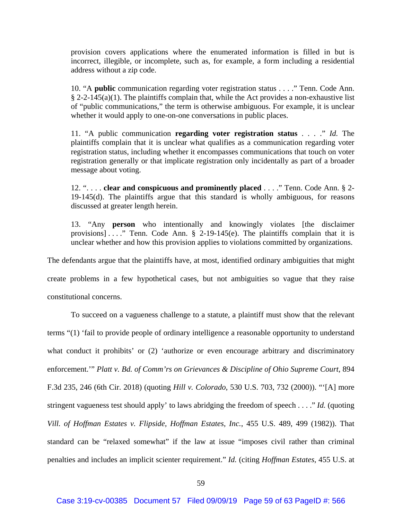provision covers applications where the enumerated information is filled in but is incorrect, illegible, or incomplete, such as, for example, a form including a residential address without a zip code.

10. "A **public** communication regarding voter registration status . . . ." Tenn. Code Ann.  $§$  2-2-145(a)(1). The plaintiffs complain that, while the Act provides a non-exhaustive list of "public communications," the term is otherwise ambiguous. For example, it is unclear whether it would apply to one-on-one conversations in public places.

11. "A public communication **regarding voter registration status** . . . ." *Id.* The plaintiffs complain that it is unclear what qualifies as a communication regarding voter registration status, including whether it encompasses communications that touch on voter registration generally or that implicate registration only incidentally as part of a broader message about voting.

12. ". . . . **clear and conspicuous and prominently placed** . . . ." Tenn. Code Ann. § 2- 19-145(d). The plaintiffs argue that this standard is wholly ambiguous, for reasons discussed at greater length herein.

13. "Any **person** who intentionally and knowingly violates [the disclaimer provisions] ...." Tenn. Code Ann.  $\S$  2-19-145(e). The plaintiffs complain that it is unclear whether and how this provision applies to violations committed by organizations.

The defendants argue that the plaintiffs have, at most, identified ordinary ambiguities that might create problems in a few hypothetical cases, but not ambiguities so vague that they raise constitutional concerns.

To succeed on a vagueness challenge to a statute, a plaintiff must show that the relevant terms "(1) 'fail to provide people of ordinary intelligence a reasonable opportunity to understand what conduct it prohibits' or (2) 'authorize or even encourage arbitrary and discriminatory enforcement.'" *Platt v. Bd. of Comm'rs on Grievances & Discipline of Ohio Supreme Court*, 894 F.3d 235, 246 (6th Cir. 2018) (quoting *Hill v. Colorado*, 530 U.S. 703, 732 (2000)). "'[A] more stringent vagueness test should apply' to laws abridging the freedom of speech . . . ." *Id.* (quoting *Vill. of Hoffman Estates v. Flipside, Hoffman Estates, Inc.*, 455 U.S. 489, 499 (1982)). That standard can be "relaxed somewhat" if the law at issue "imposes civil rather than criminal penalties and includes an implicit scienter requirement." *Id.* (citing *Hoffman Estates*, 455 U.S. at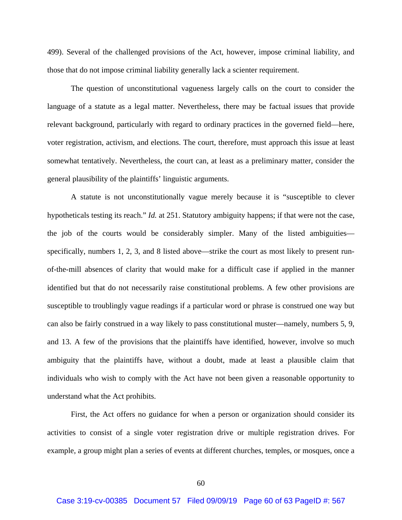499). Several of the challenged provisions of the Act, however, impose criminal liability, and those that do not impose criminal liability generally lack a scienter requirement.

The question of unconstitutional vagueness largely calls on the court to consider the language of a statute as a legal matter. Nevertheless, there may be factual issues that provide relevant background, particularly with regard to ordinary practices in the governed field—here, voter registration, activism, and elections. The court, therefore, must approach this issue at least somewhat tentatively. Nevertheless, the court can, at least as a preliminary matter, consider the general plausibility of the plaintiffs' linguistic arguments.

 A statute is not unconstitutionally vague merely because it is "susceptible to clever hypotheticals testing its reach." *Id.* at 251. Statutory ambiguity happens; if that were not the case, the job of the courts would be considerably simpler. Many of the listed ambiguities specifically, numbers 1, 2, 3, and 8 listed above—strike the court as most likely to present runof-the-mill absences of clarity that would make for a difficult case if applied in the manner identified but that do not necessarily raise constitutional problems. A few other provisions are susceptible to troublingly vague readings if a particular word or phrase is construed one way but can also be fairly construed in a way likely to pass constitutional muster—namely, numbers 5, 9, and 13. A few of the provisions that the plaintiffs have identified, however, involve so much ambiguity that the plaintiffs have, without a doubt, made at least a plausible claim that individuals who wish to comply with the Act have not been given a reasonable opportunity to understand what the Act prohibits.

 First, the Act offers no guidance for when a person or organization should consider its activities to consist of a single voter registration drive or multiple registration drives. For example, a group might plan a series of events at different churches, temples, or mosques, once a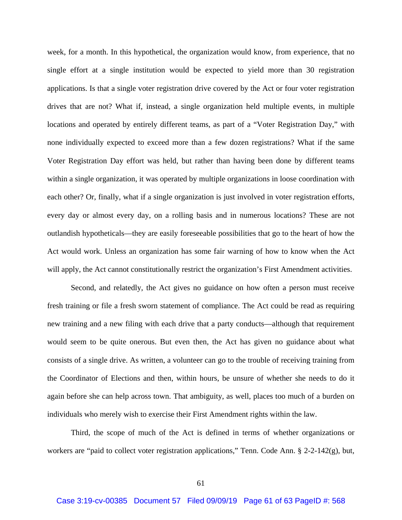week, for a month. In this hypothetical, the organization would know, from experience, that no single effort at a single institution would be expected to yield more than 30 registration applications. Is that a single voter registration drive covered by the Act or four voter registration drives that are not? What if, instead, a single organization held multiple events, in multiple locations and operated by entirely different teams, as part of a "Voter Registration Day," with none individually expected to exceed more than a few dozen registrations? What if the same Voter Registration Day effort was held, but rather than having been done by different teams within a single organization, it was operated by multiple organizations in loose coordination with each other? Or, finally, what if a single organization is just involved in voter registration efforts, every day or almost every day, on a rolling basis and in numerous locations? These are not outlandish hypotheticals—they are easily foreseeable possibilities that go to the heart of how the Act would work. Unless an organization has some fair warning of how to know when the Act will apply, the Act cannot constitutionally restrict the organization's First Amendment activities.

 Second, and relatedly, the Act gives no guidance on how often a person must receive fresh training or file a fresh sworn statement of compliance. The Act could be read as requiring new training and a new filing with each drive that a party conducts—although that requirement would seem to be quite onerous. But even then, the Act has given no guidance about what consists of a single drive. As written, a volunteer can go to the trouble of receiving training from the Coordinator of Elections and then, within hours, be unsure of whether she needs to do it again before she can help across town. That ambiguity, as well, places too much of a burden on individuals who merely wish to exercise their First Amendment rights within the law.

 Third, the scope of much of the Act is defined in terms of whether organizations or workers are "paid to collect voter registration applications," Tenn. Code Ann. § 2-2-142(g), but,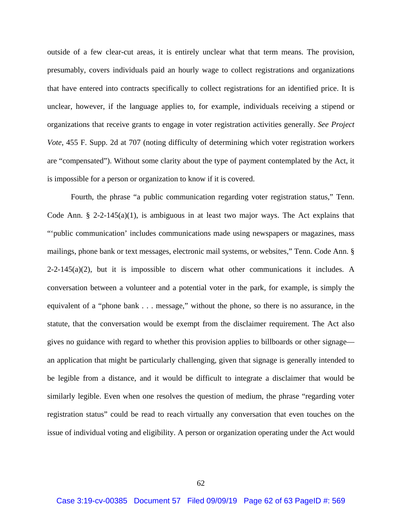outside of a few clear-cut areas, it is entirely unclear what that term means. The provision, presumably, covers individuals paid an hourly wage to collect registrations and organizations that have entered into contracts specifically to collect registrations for an identified price. It is unclear, however, if the language applies to, for example, individuals receiving a stipend or organizations that receive grants to engage in voter registration activities generally. *See Project Vote*, 455 F. Supp. 2d at 707 (noting difficulty of determining which voter registration workers are "compensated"). Without some clarity about the type of payment contemplated by the Act, it is impossible for a person or organization to know if it is covered.

 Fourth, the phrase "a public communication regarding voter registration status," Tenn. Code Ann. § 2-2-145(a)(1), is ambiguous in at least two major ways. The Act explains that "'public communication' includes communications made using newspapers or magazines, mass mailings, phone bank or text messages, electronic mail systems, or websites," Tenn. Code Ann. §  $2-2-145(a)(2)$ , but it is impossible to discern what other communications it includes. A conversation between a volunteer and a potential voter in the park, for example, is simply the equivalent of a "phone bank . . . message," without the phone, so there is no assurance, in the statute, that the conversation would be exempt from the disclaimer requirement. The Act also gives no guidance with regard to whether this provision applies to billboards or other signage an application that might be particularly challenging, given that signage is generally intended to be legible from a distance, and it would be difficult to integrate a disclaimer that would be similarly legible. Even when one resolves the question of medium, the phrase "regarding voter registration status" could be read to reach virtually any conversation that even touches on the issue of individual voting and eligibility. A person or organization operating under the Act would